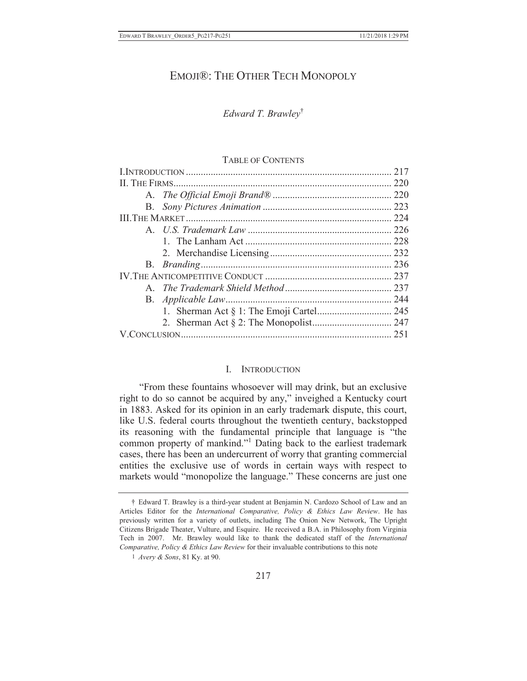# EMOJI<sup>®</sup>: THE OTHER TECH MONOPOLY

## *Edward T. Brawley*†

#### TABLE OF CONTENTS

#### I. INTRODUCTION

"From these fountains whosoever will may drink, but an exclusive right to do so cannot be acquired by any," inveighed a Kentucky court in 1883. Asked for its opinion in an early trademark dispute, this court, like U.S. federal courts throughout the twentieth century, backstopped its reasoning with the fundamental principle that language is "the common property of mankind."<sup>1</sup> Dating back to the earliest trademark cases, there has been an undercurrent of worry that granting commercial entities the exclusive use of words in certain ways with respect to markets would "monopolize the language." These concerns are just one

<sup>†</sup> Edward T. Brawley is a third-year student at Benjamin N. Cardozo School of Law and an Articles Editor for the *International Comparative, Policy & Ethics Law Review*. He has previously written for a variety of outlets, including The Onion New Network, The Upright Citizens Brigade Theater, Vulture, and Esquire. He received a B.A. in Philosophy from Virginia Tech in 2007. Mr. Brawley would like to thank the dedicated staff of the *International Comparative, Policy & Ethics Law Review* for their invaluable contributions to this note

<sup>1</sup> *Avery & Sons*, 81 Ky. at 90.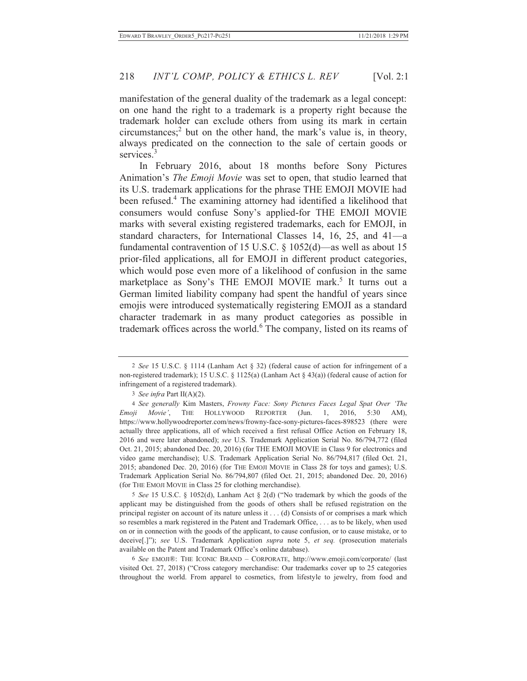manifestation of the general duality of the trademark as a legal concept: on one hand the right to a trademark is a property right because the trademark holder can exclude others from using its mark in certain circumstances;<sup>2</sup> but on the other hand, the mark's value is, in theory, always predicated on the connection to the sale of certain goods or services.<sup>3</sup>

In February 2016, about 18 months before Sony Pictures Animation's *The Emoji Movie* was set to open, that studio learned that its U.S. trademark applications for the phrase THE EMOJI MOVIE had been refused.<sup>4</sup> The examining attorney had identified a likelihood that consumers would confuse Sony's applied-for THE EMOJI MOVIE marks with several existing registered trademarks, each for EMOJI, in standard characters, for International Classes 14, 16, 25, and 41—a fundamental contravention of 15 U.S.C. § 1052(d)—as well as about 15 prior-filed applications, all for EMOJI in different product categories, which would pose even more of a likelihood of confusion in the same marketplace as Sony's THE EMOJI MOVIE mark.<sup>5</sup> It turns out a German limited liability company had spent the handful of years since emojis were introduced systematically registering EMOJI as a standard character trademark in as many product categories as possible in trademark offices across the world.<sup>6</sup> The company, listed on its reams of

5 *See* 15 U.S.C. § 1052(d), Lanham Act § 2(d) ("No trademark by which the goods of the applicant may be distinguished from the goods of others shall be refused registration on the principal register on account of its nature unless it . . . (d) Consists of or comprises a mark which so resembles a mark registered in the Patent and Trademark Office, . . . as to be likely, when used on or in connection with the goods of the applicant, to cause confusion, or to cause mistake, or to deceive[.]"); *see* U.S. Trademark Application *supra* note 5, *et seq.* (prosecution materials available on the Patent and Trademark Office's online database).

6 *See* EMOJI®: THE ICONIC BRAND – CORPORATE, http://www.emoji.com/corporate/ (last visited Oct. 27, 2018) ("Cross category merchandise: Our trademarks cover up to 25 categories throughout the world. From apparel to cosmetics, from lifestyle to jewelry, from food and

<sup>2</sup> *See* 15 U.S.C. § 1114 (Lanham Act § 32) (federal cause of action for infringement of a non-registered trademark); 15 U.S.C. § 1125(a) (Lanham Act § 43(a)) (federal cause of action for infringement of a registered trademark).

<sup>3</sup> *See infra* Part II(A)(2).

<sup>4</sup> *See generally* Kim Masters, *Frowny Face: Sony Pictures Faces Legal Spat Over 'The Emoji Movie'*, THE HOLLYWOOD REPORTER (Jun. 1, 2016, 5:30 AM), https://www.hollywoodreporter.com/news/frowny-face-sony-pictures-faces-898523 (there were actually three applications, all of which received a first refusal Office Action on February 18, 2016 and were later abandoned); *see* U.S. Trademark Application Serial No. 86/794,772 (filed Oct. 21, 2015; abandoned Dec. 20, 2016) (for THE EMOJI MOVIE in Class 9 for electronics and video game merchandise); U.S. Trademark Application Serial No. 86/794,817 (filed Oct. 21, 2015; abandoned Dec. 20, 2016) (for THE EMOJI MOVIE in Class 28 for toys and games); U.S. Trademark Application Serial No. 86/794,807 (filed Oct. 21, 2015; abandoned Dec. 20, 2016) (for THE EMOJI MOVIE in Class 25 for clothing merchandise).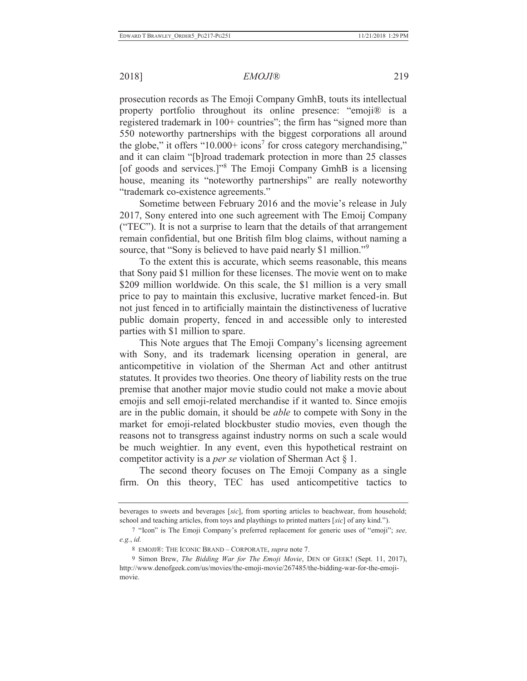## 2018] *EMOJI®* 219

prosecution records as The Emoji Company GmhB, touts its intellectual property portfolio throughout its online presence: "emoji® is a registered trademark in 100+ countries"; the firm has "signed more than 550 noteworthy partnerships with the biggest corporations all around the globe," it offers "10.000+ icons<sup>7</sup> for cross category merchandising," and it can claim "[b]road trademark protection in more than 25 classes [of goods and services.]"<sup>8</sup> The Emoji Company GmhB is a licensing house, meaning its "noteworthy partnerships" are really noteworthy "trademark co-existence agreements."

Sometime between February 2016 and the movie's release in July 2017, Sony entered into one such agreement with The Emoij Company ("TEC"). It is not a surprise to learn that the details of that arrangement remain confidential, but one British film blog claims, without naming a source, that "Sony is believed to have paid nearly \$1 million."<sup>9</sup>

To the extent this is accurate, which seems reasonable, this means that Sony paid \$1 million for these licenses. The movie went on to make \$209 million worldwide. On this scale, the \$1 million is a very small price to pay to maintain this exclusive, lucrative market fenced-in. But not just fenced in to artificially maintain the distinctiveness of lucrative public domain property, fenced in and accessible only to interested parties with \$1 million to spare.

This Note argues that The Emoji Company's licensing agreement with Sony, and its trademark licensing operation in general, are anticompetitive in violation of the Sherman Act and other antitrust statutes. It provides two theories. One theory of liability rests on the true premise that another major movie studio could not make a movie about emojis and sell emoji-related merchandise if it wanted to. Since emojis are in the public domain, it should be *able* to compete with Sony in the market for emoji-related blockbuster studio movies, even though the reasons not to transgress against industry norms on such a scale would be much weightier. In any event, even this hypothetical restraint on competitor activity is a *per se* violation of Sherman Act § 1.

The second theory focuses on The Emoji Company as a single firm. On this theory, TEC has used anticompetitive tactics to

beverages to sweets and beverages [*sic*], from sporting articles to beachwear, from household; school and teaching articles, from toys and playthings to printed matters [*sic*] of any kind.").

<sup>7</sup> "Icon" is The Emoji Company's preferred replacement for generic uses of "emoji"; *see, e.g.*, *id.*

<sup>8</sup> EMOJI®: THE ICONIC BRAND – CORPORATE, *supra* note 7.

<sup>9</sup> Simon Brew, *The Bidding War for The Emoji Movie*, DEN OF GEEK! (Sept. 11, 2017), http://www.denofgeek.com/us/movies/the-emoji-movie/267485/the-bidding-war-for-the-emojimovie.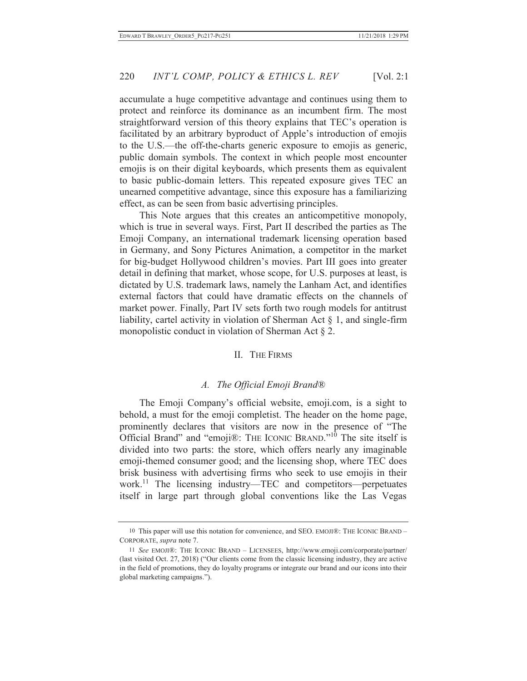accumulate a huge competitive advantage and continues using them to protect and reinforce its dominance as an incumbent firm. The most straightforward version of this theory explains that TEC's operation is facilitated by an arbitrary byproduct of Apple's introduction of emojis to the U.S.—the off-the-charts generic exposure to emojis as generic, public domain symbols. The context in which people most encounter emojis is on their digital keyboards, which presents them as equivalent to basic public-domain letters. This repeated exposure gives TEC an unearned competitive advantage, since this exposure has a familiarizing effect, as can be seen from basic advertising principles.

This Note argues that this creates an anticompetitive monopoly, which is true in several ways. First, Part II described the parties as The Emoji Company, an international trademark licensing operation based in Germany, and Sony Pictures Animation, a competitor in the market for big-budget Hollywood children's movies. Part III goes into greater detail in defining that market, whose scope, for U.S. purposes at least, is dictated by U.S. trademark laws, namely the Lanham Act, and identifies external factors that could have dramatic effects on the channels of market power. Finally, Part IV sets forth two rough models for antitrust liability, cartel activity in violation of Sherman Act  $\S$  1, and single-firm monopolistic conduct in violation of Sherman Act § 2.

#### II. THE FIRMS

#### *A. The Official Emoji Brand®*

The Emoji Company's official website, emoji.com, is a sight to behold, a must for the emoji completist. The header on the home page, prominently declares that visitors are now in the presence of "The Official Brand" and "emoji $\circledR$ : THE ICONIC BRAND."<sup>10</sup> The site itself is divided into two parts: the store, which offers nearly any imaginable emoji-themed consumer good; and the licensing shop, where TEC does brisk business with advertising firms who seek to use emojis in their work.<sup>11</sup> The licensing industry—TEC and competitors—perpetuates itself in large part through global conventions like the Las Vegas

<sup>10</sup> This paper will use this notation for convenience, and SEO. EMOJI®: THE ICONIC BRAND – CORPORATE, *supra* note 7.

<sup>11</sup> *See* EMOJI®: THE ICONIC BRAND – LICENSEES, http://www.emoji.com/corporate/partner/ (last visited Oct. 27, 2018) ("Our clients come from the classic licensing industry, they are active in the field of promotions, they do loyalty programs or integrate our brand and our icons into their global marketing campaigns.").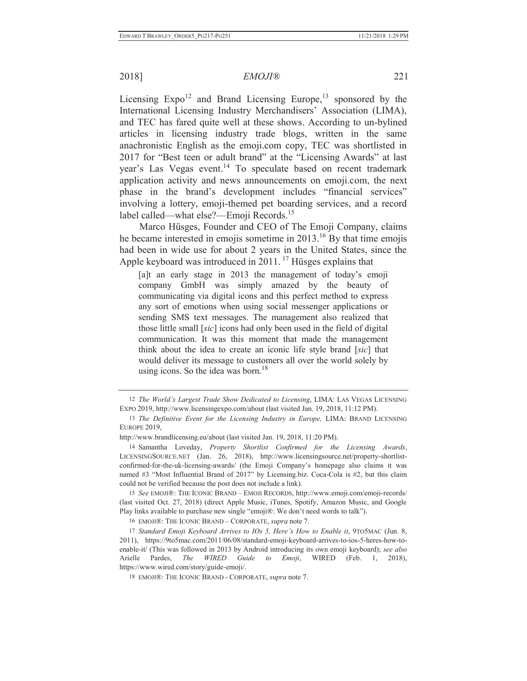Licensing  $Expo<sup>12</sup>$  and Brand Licensing Europe,<sup>13</sup> sponsored by the International Licensing Industry Merchandisers' Association (LIMA), and TEC has fared quite well at these shows. According to un-bylined articles in licensing industry trade blogs, written in the same anachronistic English as the emoji.com copy, TEC was shortlisted in 2017 for "Best teen or adult brand" at the "Licensing Awards" at last year's Las Vegas event. 14 To speculate based on recent trademark application activity and news announcements on emoji.com, the next phase in the brand's development includes "financial services" involving a lottery, emoji-themed pet boarding services, and a record label called—what else?—Emoji Records.<sup>15</sup>

Marco Hüsges, Founder and CEO of The Emoji Company, claims he became interested in emojis sometime in 2013.<sup>16</sup> By that time emojis had been in wide use for about 2 years in the United States, since the Apple keyboard was introduced in  $2011$ .<sup>17</sup> Hüsges explains that

[a]t an early stage in 2013 the management of today's emoji company GmbH was simply amazed by the beauty of communicating via digital icons and this perfect method to express any sort of emotions when using social messenger applications or sending SMS text messages. The management also realized that those little small [*sic*] icons had only been used in the field of digital communication. It was this moment that made the management think about the idea to create an iconic life style brand [*sic*] that would deliver its message to customers all over the world solely by using icons. So the idea was born. $18$ 

15 *See* EMOJI®: THE ICONIC BRAND – EMOJI RECORDS, http://www.emoji.com/emoji-records/ (last visited Oct. 27, 2018) (direct Apple Music, iTunes, Spotify, Amazon Music, and Google Play links available to purchase new single "emoji®: We don't need words to talk").

<sup>12</sup> *The World's Largest Trade Show Dedicated to Licensing*, LIMA: LAS VEGAS LICENSING EXPO 2019, http://www.licensingexpo.com/about (last visited Jan. 19, 2018, 11:12 PM).

<sup>13</sup> *The Definitive Event for the Licensing Industry in Europe,* LIMA: BRAND LICENSING EUROPE 2019,

http://www.brandlicensing.eu/about (last visited Jan. 19, 2018, 11:20 PM).

<sup>14</sup> Samantha Loveday, *Property Shortlist Confirmed for the Licensing Awards*, LICENSINGSOURCE.NET (Jan. 26, 2018), http://www.licensingsource.net/property-shortlistconfirmed-for-the-uk-licensing-awards/ (the Emoji Company's homepage also claims it was named #3 "Most Influential Brand of 2017" by Licensing.biz. Coca-Cola is #2, but this claim could not be verified because the post does not include a link).

<sup>16</sup> EMOJI®: THE ICONIC BRAND – CORPORATE, *supra* note 7.

<sup>17</sup> *Standard Emoji Keyboard Arrives to IOs 5, Here's How to Enable it*, 9TO5MAC (Jun. 8, 2011), https://9to5mac.com/2011/06/08/standard-emoji-keyboard-arrives-to-ios-5-heres-how-toenable-it/ (This was followed in 2013 by Android introducing its own emoji keyboard); *see also* Arielle Pardes, *The WIRED Guide to Emoji*, WIRED (Feb. 1, 2018), https://www.wired.com/story/guide-emoji/.

<sup>18</sup> EMOJI®: THE ICONIC BRAND - CORPORATE, *supra* note 7.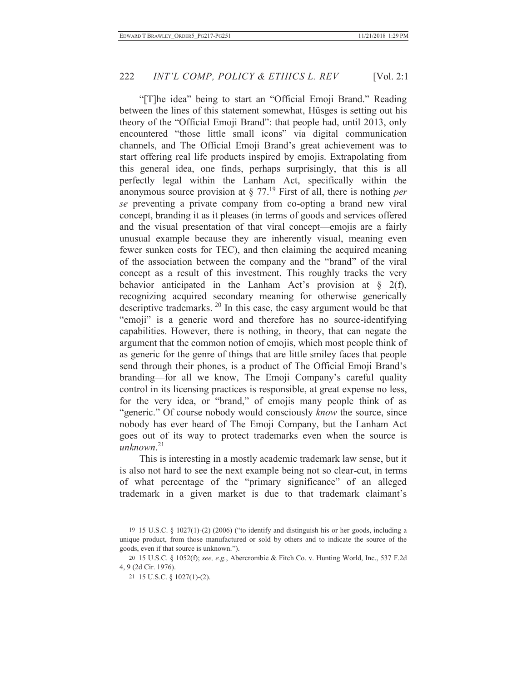"[T]he idea" being to start an "Official Emoji Brand." Reading between the lines of this statement somewhat, Hüsges is setting out his theory of the "Official Emoji Brand": that people had, until 2013, only encountered "those little small icons" via digital communication channels, and The Official Emoji Brand's great achievement was to start offering real life products inspired by emojis. Extrapolating from this general idea, one finds, perhaps surprisingly, that this is all perfectly legal within the Lanham Act, specifically within the anonymous source provision at § 77.19 First of all, there is nothing *per se* preventing a private company from co-opting a brand new viral concept, branding it as it pleases (in terms of goods and services offered and the visual presentation of that viral concept—emojis are a fairly unusual example because they are inherently visual, meaning even fewer sunken costs for TEC), and then claiming the acquired meaning of the association between the company and the "brand" of the viral concept as a result of this investment. This roughly tracks the very behavior anticipated in the Lanham Act's provision at  $\S$  2(f), recognizing acquired secondary meaning for otherwise generically descriptive trademarks. 20 In this case, the easy argument would be that "emoji" is a generic word and therefore has no source-identifying capabilities. However, there is nothing, in theory, that can negate the argument that the common notion of emojis, which most people think of as generic for the genre of things that are little smiley faces that people send through their phones, is a product of The Official Emoji Brand's branding—for all we know, The Emoji Company's careful quality control in its licensing practices is responsible, at great expense no less, for the very idea, or "brand," of emojis many people think of as "generic." Of course nobody would consciously *know* the source, since nobody has ever heard of The Emoji Company, but the Lanham Act goes out of its way to protect trademarks even when the source is *unknown*. 21

This is interesting in a mostly academic trademark law sense, but it is also not hard to see the next example being not so clear-cut, in terms of what percentage of the "primary significance" of an alleged trademark in a given market is due to that trademark claimant's

<sup>19 15</sup> U.S.C. § 1027(1)-(2) (2006) ("to identify and distinguish his or her goods, including a unique product, from those manufactured or sold by others and to indicate the source of the goods, even if that source is unknown.").

<sup>20 15</sup> U.S.C. § 1052(f); *see, e.g.*, Abercrombie & Fitch Co. v. Hunting World, Inc., 537 F.2d 4, 9 (2d Cir. 1976).

<sup>21 15</sup> U.S.C. § 1027(1)-(2).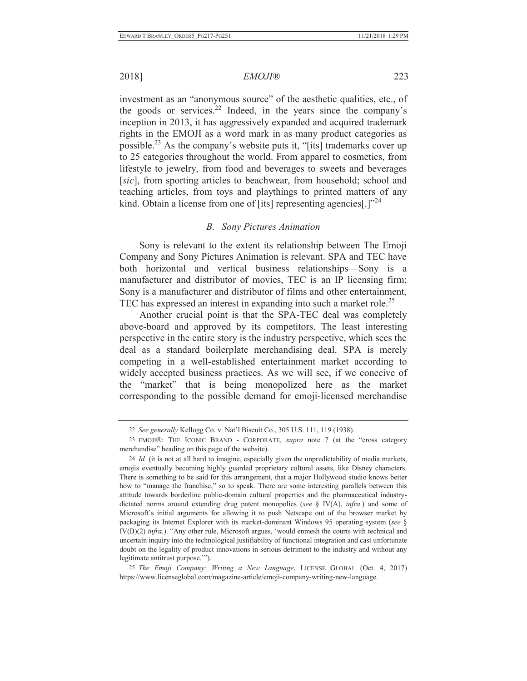2018] *EMOJI®* 223

investment as an "anonymous source" of the aesthetic qualities, etc., of the goods or services.<sup>22</sup> Indeed, in the years since the company's inception in 2013, it has aggressively expanded and acquired trademark rights in the EMOJI as a word mark in as many product categories as possible.23 As the company's website puts it, "[its] trademarks cover up to 25 categories throughout the world. From apparel to cosmetics, from lifestyle to jewelry, from food and beverages to sweets and beverages [*sic*], from sporting articles to beachwear, from household; school and teaching articles, from toys and playthings to printed matters of any kind. Obtain a license from one of [its] representing agencies[.]"<sup>24</sup>

#### *B. Sony Pictures Animation*

Sony is relevant to the extent its relationship between The Emoji Company and Sony Pictures Animation is relevant. SPA and TEC have both horizontal and vertical business relationships—Sony is a manufacturer and distributor of movies, TEC is an IP licensing firm; Sony is a manufacturer and distributor of films and other entertainment, TEC has expressed an interest in expanding into such a market role.<sup>25</sup>

Another crucial point is that the SPA-TEC deal was completely above-board and approved by its competitors. The least interesting perspective in the entire story is the industry perspective, which sees the deal as a standard boilerplate merchandising deal. SPA is merely competing in a well-established entertainment market according to widely accepted business practices. As we will see, if we conceive of the "market" that is being monopolized here as the market corresponding to the possible demand for emoji-licensed merchandise

25 *The Emoji Company: Writing a New Language*, LICENSE GLOBAL (Oct. 4, 2017) https://www.licenseglobal.com/magazine-article/emoji-company-writing-new-language.

<sup>22</sup> *See generally* Kellogg Co. v. Nat'l Biscuit Co., 305 U.S. 111, 119 (1938).

<sup>23</sup> EMOJI®: THE ICONIC BRAND - CORPORATE, *supra* note 7 (at the "cross category merchandise" heading on this page of the website).

<sup>24</sup> *Id.* (it is not at all hard to imagine, especially given the unpredictability of media markets, emojis eventually becoming highly guarded proprietary cultural assets, like Disney characters. There is something to be said for this arrangement, that a major Hollywood studio knows better how to "manage the franchise," so to speak. There are some interesting parallels between this attitude towards borderline public-domain cultural properties and the pharmaceutical industrydictated norms around extending drug patent monopolies (*see* § IV(A), *infra.*) and some of Microsoft's initial arguments for allowing it to push Netscape out of the browser market by packaging its Internet Explorer with its market-dominant Windows 95 operating system (*see* § IV(B)(2) *infra.*). "Any other rule, Microsoft argues, 'would enmesh the courts with technical and uncertain inquiry into the technological justifiability of functional integration and cast unfortunate doubt on the legality of product innovations in serious detriment to the industry and without any legitimate antitrust purpose.'").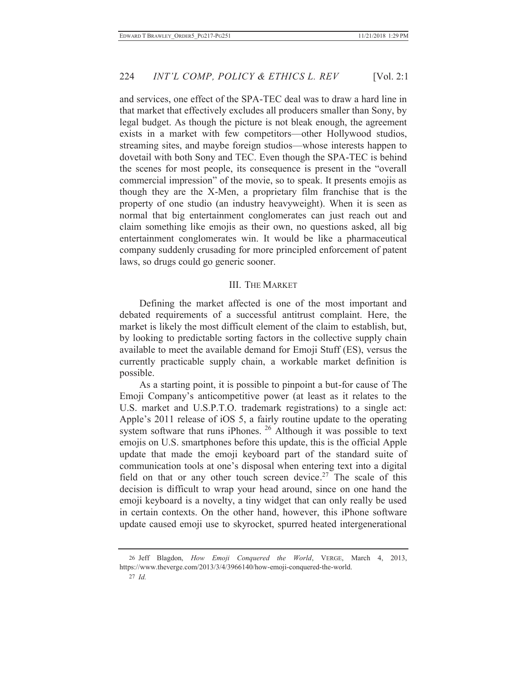and services, one effect of the SPA-TEC deal was to draw a hard line in that market that effectively excludes all producers smaller than Sony, by legal budget. As though the picture is not bleak enough, the agreement exists in a market with few competitors—other Hollywood studios, streaming sites, and maybe foreign studios—whose interests happen to dovetail with both Sony and TEC. Even though the SPA-TEC is behind the scenes for most people, its consequence is present in the "overall commercial impression" of the movie, so to speak. It presents emojis as though they are the X-Men, a proprietary film franchise that is the property of one studio (an industry heavyweight). When it is seen as normal that big entertainment conglomerates can just reach out and claim something like emojis as their own, no questions asked, all big entertainment conglomerates win. It would be like a pharmaceutical company suddenly crusading for more principled enforcement of patent laws, so drugs could go generic sooner.

## III. THE MARKET

Defining the market affected is one of the most important and debated requirements of a successful antitrust complaint. Here, the market is likely the most difficult element of the claim to establish, but, by looking to predictable sorting factors in the collective supply chain available to meet the available demand for Emoji Stuff (ES), versus the currently practicable supply chain, a workable market definition is possible.

As a starting point, it is possible to pinpoint a but-for cause of The Emoji Company's anticompetitive power (at least as it relates to the U.S. market and U.S.P.T.O. trademark registrations) to a single act: Apple's 2011 release of iOS 5, a fairly routine update to the operating system software that runs iPhones. <sup>26</sup> Although it was possible to text emojis on U.S. smartphones before this update, this is the official Apple update that made the emoji keyboard part of the standard suite of communication tools at one's disposal when entering text into a digital field on that or any other touch screen device.<sup>27</sup> The scale of this decision is difficult to wrap your head around, since on one hand the emoji keyboard is a novelty, a tiny widget that can only really be used in certain contexts. On the other hand, however, this iPhone software update caused emoji use to skyrocket, spurred heated intergenerational

<sup>26</sup> Jeff Blagdon, *How Emoji Conquered the World*, VERGE, March 4, 2013, https://www.theverge.com/2013/3/4/3966140/how-emoji-conquered-the-world.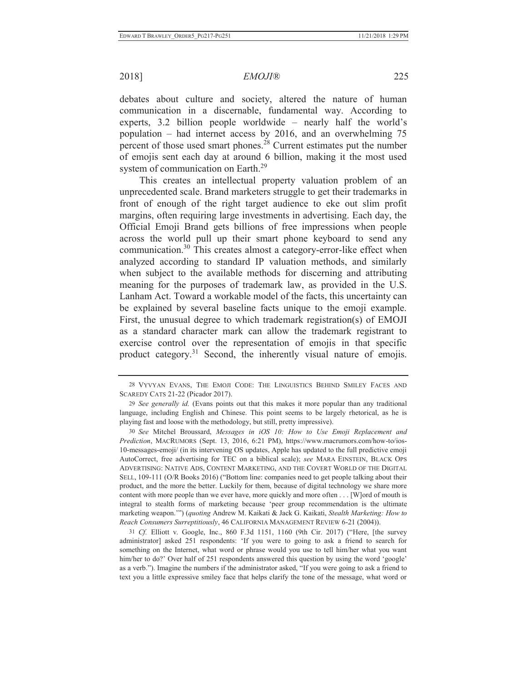debates about culture and society, altered the nature of human communication in a discernable, fundamental way. According to experts, 3.2 billion people worldwide – nearly half the world's population – had internet access by 2016, and an overwhelming 75 percent of those used smart phones.28 Current estimates put the number of emojis sent each day at around 6 billion, making it the most used system of communication on Earth.<sup>29</sup>

This creates an intellectual property valuation problem of an unprecedented scale. Brand marketers struggle to get their trademarks in front of enough of the right target audience to eke out slim profit margins, often requiring large investments in advertising. Each day, the Official Emoji Brand gets billions of free impressions when people across the world pull up their smart phone keyboard to send any communication.<sup>30</sup> This creates almost a category-error-like effect when analyzed according to standard IP valuation methods, and similarly when subject to the available methods for discerning and attributing meaning for the purposes of trademark law, as provided in the U.S. Lanham Act. Toward a workable model of the facts, this uncertainty can be explained by several baseline facts unique to the emoji example. First, the unusual degree to which trademark registration(s) of EMOJI as a standard character mark can allow the trademark registrant to exercise control over the representation of emojis in that specific product category.<sup>31</sup> Second, the inherently visual nature of emojis.

<sup>28</sup> VYVYAN EVANS, THE EMOJI CODE: THE LINGUISTICS BEHIND SMILEY FACES AND SCAREDY CATS 21-22 (Picador 2017).

<sup>29</sup> *See generally id.* (Evans points out that this makes it more popular than any traditional language, including English and Chinese. This point seems to be largely rhetorical, as he is playing fast and loose with the methodology, but still, pretty impressive).

<sup>30</sup> *See* Mitchel Broussard, *Messages in iOS 10: How to Use Emoji Replacement and Prediction*, MACRUMORS (Sept. 13, 2016, 6:21 PM), https://www.macrumors.com/how-to/ios-10-messages-emoji/ (in its intervening OS updates, Apple has updated to the full predictive emoji AutoCorrect, free advertising for TEC on a biblical scale); *see* MARA EINSTEIN, BLACK OPS ADVERTISING: NATIVE ADS, CONTENT MARKETING, AND THE COVERT WORLD OF THE DIGITAL SELL, 109-111 (O/R Books 2016) ("Bottom line: companies need to get people talking about their product, and the more the better. Luckily for them, because of digital technology we share more content with more people than we ever have, more quickly and more often . . . [W]ord of mouth is integral to stealth forms of marketing because 'peer group recommendation is the ultimate marketing weapon.'") (*quoting* Andrew M. Kaikati & Jack G. Kaikati, *Stealth Marketing: How to Reach Consumers Surreptitiously*, 46 CALIFORNIA MANAGEMENT REVIEW 6-21 (2004)).

<sup>31</sup> *Cf.* Elliott v. Google, Inc., 860 F.3d 1151, 1160 (9th Cir. 2017) ("Here, [the survey administrator] asked 251 respondents: 'If you were to going to ask a friend to search for something on the Internet, what word or phrase would you use to tell him/her what you want him/her to do?' Over half of 251 respondents answered this question by using the word 'google' as a verb."). Imagine the numbers if the administrator asked, "If you were going to ask a friend to text you a little expressive smiley face that helps clarify the tone of the message, what word or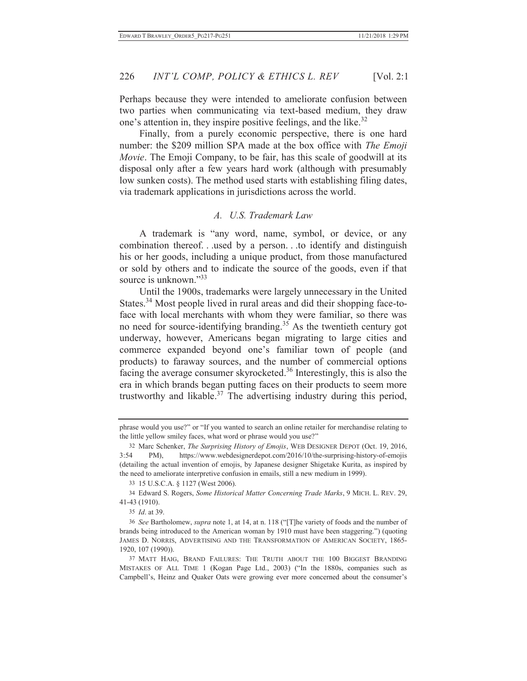Perhaps because they were intended to ameliorate confusion between two parties when communicating via text-based medium, they draw one's attention in, they inspire positive feelings, and the like.<sup>32</sup>

Finally, from a purely economic perspective, there is one hard number: the \$209 million SPA made at the box office with *The Emoji Movie*. The Emoji Company, to be fair, has this scale of goodwill at its disposal only after a few years hard work (although with presumably low sunken costs). The method used starts with establishing filing dates, via trademark applications in jurisdictions across the world.

### *A. U.S. Trademark Law*

A trademark is "any word, name, symbol, or device, or any combination thereof. . .used by a person. . .to identify and distinguish his or her goods, including a unique product, from those manufactured or sold by others and to indicate the source of the goods, even if that source is unknown."<sup>33</sup>

Until the 1900s, trademarks were largely unnecessary in the United States.<sup>34</sup> Most people lived in rural areas and did their shopping face-toface with local merchants with whom they were familiar, so there was no need for source-identifying branding.<sup>35</sup> As the twentieth century got underway, however, Americans began migrating to large cities and commerce expanded beyond one's familiar town of people (and products) to faraway sources, and the number of commercial options facing the average consumer skyrocketed.<sup>36</sup> Interestingly, this is also the era in which brands began putting faces on their products to seem more trustworthy and likable. $37$  The advertising industry during this period,

35 *Id*. at 39.

phrase would you use?" or "If you wanted to search an online retailer for merchandise relating to the little yellow smiley faces, what word or phrase would you use?"

<sup>32</sup> Marc Schenker, *The Surprising History of Emojis*, WEB DESIGNER DEPOT (Oct. 19, 2016, 3:54 PM), https://www.webdesignerdepot.com/2016/10/the-surprising-history-of-emojis (detailing the actual invention of emojis, by Japanese designer Shigetake Kurita, as inspired by the need to ameliorate interpretive confusion in emails, still a new medium in 1999).

<sup>33 15</sup> U.S.C.A. § 1127 (West 2006).

<sup>34</sup> Edward S. Rogers, *Some Historical Matter Concerning Trade Marks*, 9 MICH. L. REV. 29, 41-43 (1910).

<sup>36</sup> *See* Bartholomew, *supra* note 1, at 14, at n. 118 ("[T]he variety of foods and the number of brands being introduced to the American woman by 1910 must have been staggering.") (quoting JAMES D. NORRIS, ADVERTISING AND THE TRANSFORMATION OF AMERICAN SOCIETY, 1865- 1920, 107 (1990)).

<sup>37</sup> MATT HAIG, BRAND FAILURES: THE TRUTH ABOUT THE 100 BIGGEST BRANDING MISTAKES OF ALL TIME 1 (Kogan Page Ltd., 2003) ("In the 1880s, companies such as Campbell's, Heinz and Quaker Oats were growing ever more concerned about the consumer's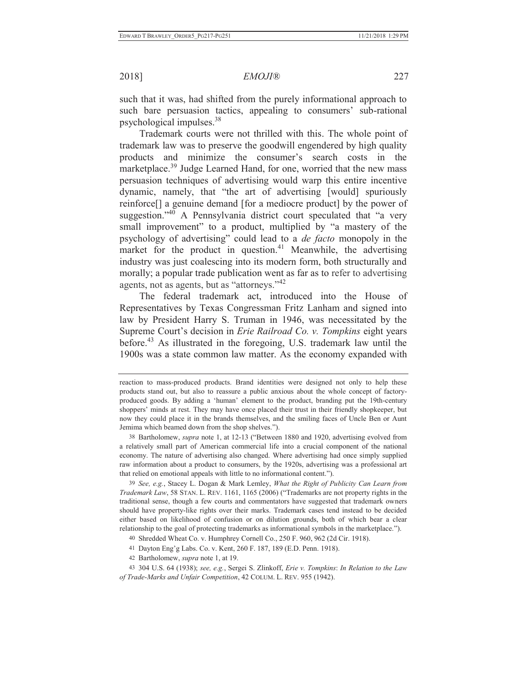such that it was, had shifted from the purely informational approach to such bare persuasion tactics, appealing to consumers' sub-rational psychological impulses.38

Trademark courts were not thrilled with this. The whole point of trademark law was to preserve the goodwill engendered by high quality products and minimize the consumer's search costs in the marketplace.<sup>39</sup> Judge Learned Hand, for one, worried that the new mass persuasion techniques of advertising would warp this entire incentive dynamic, namely, that "the art of advertising [would] spuriously reinforce[] a genuine demand [for a mediocre product] by the power of suggestion."<sup>40</sup> A Pennsylvania district court speculated that "a very small improvement" to a product, multiplied by "a mastery of the psychology of advertising" could lead to a *de facto* monopoly in the market for the product in question. $41$  Meanwhile, the advertising industry was just coalescing into its modern form, both structurally and morally; a popular trade publication went as far as to refer to advertising agents, not as agents, but as "attorneys."<sup>42</sup>

The federal trademark act, introduced into the House of Representatives by Texas Congressman Fritz Lanham and signed into law by President Harry S. Truman in 1946, was necessitated by the Supreme Court's decision in *Erie Railroad Co. v. Tompkins* eight years before.43 As illustrated in the foregoing, U.S. trademark law until the 1900s was a state common law matter. As the economy expanded with

38 Bartholomew, *supra* note 1, at 12-13 ("Between 1880 and 1920, advertising evolved from a relatively small part of American commercial life into a crucial component of the national economy. The nature of advertising also changed. Where advertising had once simply supplied raw information about a product to consumers, by the 1920s, advertising was a professional art that relied on emotional appeals with little to no informational content.").

39 *See, e.g.*, Stacey L. Dogan & Mark Lemley, *What the Right of Publicity Can Learn from Trademark Law*, 58 STAN. L. REV. 1161, 1165 (2006) ("Trademarks are not property rights in the traditional sense, though a few courts and commentators have suggested that trademark owners should have property-like rights over their marks. Trademark cases tend instead to be decided either based on likelihood of confusion or on dilution grounds, both of which bear a clear relationship to the goal of protecting trademarks as informational symbols in the marketplace.").

40 Shredded Wheat Co. v. Humphrey Cornell Co., 250 F. 960, 962 (2d Cir. 1918).

41 Dayton Eng'g Labs. Co. v. Kent, 260 F. 187, 189 (E.D. Penn. 1918).

42 Bartholomew, *supra* note 1, at 19.

43 304 U.S. 64 (1938); *see, e.g.*, Sergei S. Zlinkoff, *Erie v. Tompkins*: *In Relation to the Law of Trade-Marks and Unfair Competition*, 42 COLUM. L. REV. 955 (1942).

reaction to mass-produced products. Brand identities were designed not only to help these products stand out, but also to reassure a public anxious about the whole concept of factoryproduced goods. By adding a 'human' element to the product, branding put the 19th-century shoppers' minds at rest. They may have once placed their trust in their friendly shopkeeper, but now they could place it in the brands themselves, and the smiling faces of Uncle Ben or Aunt Jemima which beamed down from the shop shelves.").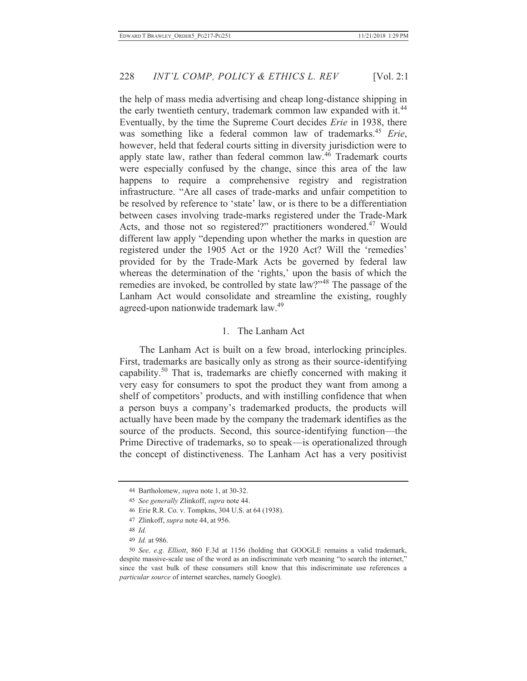the help of mass media advertising and cheap long-distance shipping in the early twentieth century, trademark common law expanded with it.<sup>44</sup> Eventually, by the time the Supreme Court decides *Erie* in 1938, there was something like a federal common law of trademarks.<sup>45</sup> *Erie*, however, held that federal courts sitting in diversity jurisdiction were to apply state law, rather than federal common law.46 Trademark courts were especially confused by the change, since this area of the law happens to require a comprehensive registry and registration infrastructure. "Are all cases of trade-marks and unfair competition to be resolved by reference to 'state' law, or is there to be a differentiation between cases involving trade-marks registered under the Trade-Mark Acts, and those not so registered?" practitioners wondered.<sup>47</sup> Would different law apply "depending upon whether the marks in question are registered under the 1905 Act or the 1920 Act? Will the 'remedies' provided for by the Trade-Mark Acts be governed by federal law whereas the determination of the 'rights,' upon the basis of which the remedies are invoked, be controlled by state law?"48 The passage of the Lanham Act would consolidate and streamline the existing, roughly agreed-upon nationwide trademark law.49

### 1. The Lanham Act

The Lanham Act is built on a few broad, interlocking principles. First, trademarks are basically only as strong as their source-identifying capability.50 That is, trademarks are chiefly concerned with making it very easy for consumers to spot the product they want from among a shelf of competitors' products, and with instilling confidence that when a person buys a company's trademarked products, the products will actually have been made by the company the trademark identifies as the source of the products. Second, this source-identifying function—the Prime Directive of trademarks, so to speak—is operationalized through the concept of distinctiveness. The Lanham Act has a very positivist

<sup>44</sup> Bartholomew, *supra* note 1, at 30-32.

<sup>45</sup> *See generally* Zlinkoff, *supra* note 44.

<sup>46</sup> Erie R.R. Co. v. Tompkns, 304 U.S. at 64 (1938).

<sup>47</sup> Zlinkoff, *supra* note 44, at 956.

<sup>48</sup> *Id.*

<sup>49</sup> *Id.* at 986.

<sup>50</sup> *See, e.g. Elliott*, 860 F.3d at 1156 (holding that GOOGLE remains a valid trademark, despite massive-scale use of the word as an indiscriminate verb meaning "to search the internet," since the vast bulk of these consumers still know that this indiscriminate use references a *particular source* of internet searches, namely Google).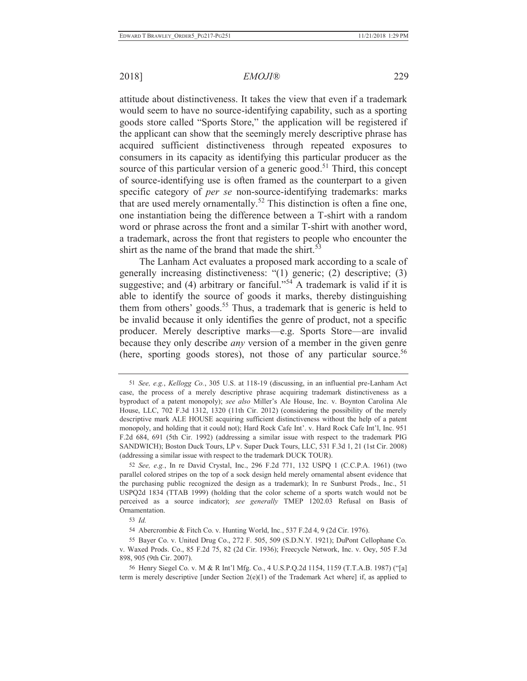attitude about distinctiveness. It takes the view that even if a trademark would seem to have no source-identifying capability, such as a sporting goods store called "Sports Store," the application will be registered if the applicant can show that the seemingly merely descriptive phrase has acquired sufficient distinctiveness through repeated exposures to consumers in its capacity as identifying this particular producer as the source of this particular version of a generic good.<sup>51</sup> Third, this concept of source-identifying use is often framed as the counterpart to a given specific category of *per se* non-source-identifying trademarks: marks that are used merely ornamentally.<sup>52</sup> This distinction is often a fine one, one instantiation being the difference between a T-shirt with a random word or phrase across the front and a similar T-shirt with another word, a trademark, across the front that registers to people who encounter the shirt as the name of the brand that made the shirt.<sup>53</sup>

The Lanham Act evaluates a proposed mark according to a scale of generally increasing distinctiveness: "(1) generic; (2) descriptive; (3) suggestive; and (4) arbitrary or fanciful."<sup>54</sup> A trademark is valid if it is able to identify the source of goods it marks, thereby distinguishing them from others' goods.<sup>55</sup> Thus, a trademark that is generic is held to be invalid because it only identifies the genre of product, not a specific producer. Merely descriptive marks—e.g. Sports Store—are invalid because they only describe *any* version of a member in the given genre (here, sporting goods stores), not those of any particular source.<sup>56</sup>

<sup>51</sup> *See, e.g.*, *Kellogg Co.*, 305 U.S. at 118-19 (discussing, in an influential pre-Lanham Act case, the process of a merely descriptive phrase acquiring trademark distinctiveness as a byproduct of a patent monopoly); *see also* Miller's Ale House, Inc. v. Boynton Carolina Ale House, LLC, 702 F.3d 1312, 1320 (11th Cir. 2012) (considering the possibility of the merely descriptive mark ALE HOUSE acquiring sufficient distinctiveness without the help of a patent monopoly, and holding that it could not); Hard Rock Cafe Int'. v. Hard Rock Cafe Int'l, Inc. 951 F.2d 684, 691 (5th Cir. 1992) (addressing a similar issue with respect to the trademark PIG SANDWICH); Boston Duck Tours, LP v. Super Duck Tours, LLC, 531 F.3d 1, 21 (1st Cir. 2008) (addressing a similar issue with respect to the trademark DUCK TOUR).

<sup>52</sup> *See, e.g.*, In re David Crystal, Inc., 296 F.2d 771, 132 USPQ 1 (C.C.P.A. 1961) (two parallel colored stripes on the top of a sock design held merely ornamental absent evidence that the purchasing public recognized the design as a trademark); In re Sunburst Prods., Inc., 51 USPQ2d 1834 (TTAB 1999) (holding that the color scheme of a sports watch would not be perceived as a source indicator); *see generally* TMEP 1202.03 Refusal on Basis of Ornamentation.

<sup>53</sup> *Id.*

<sup>54</sup> Abercrombie & Fitch Co. v. Hunting World, Inc., 537 F.2d 4, 9 (2d Cir. 1976).

<sup>55</sup> Bayer Co. v. United Drug Co., 272 F. 505, 509 (S.D.N.Y. 1921); DuPont Cellophane Co. v. Waxed Prods. Co., 85 F.2d 75, 82 (2d Cir. 1936); Freecycle Network, Inc. v. Oey, 505 F.3d 898, 905 (9th Cir. 2007).

<sup>56</sup> Henry Siegel Co. v. M & R Int'l Mfg. Co*.*, 4 U.S.P.Q.2d 1154, 1159 (T.T.A.B. 1987) ("[a] term is merely descriptive [under Section 2(e)(1) of the Trademark Act where] if, as applied to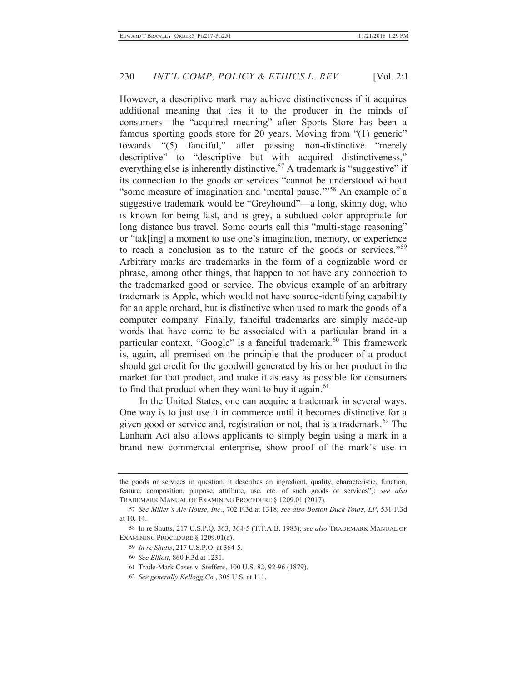However, a descriptive mark may achieve distinctiveness if it acquires additional meaning that ties it to the producer in the minds of consumers—the "acquired meaning" after Sports Store has been a famous sporting goods store for 20 years. Moving from "(1) generic" towards "(5) fanciful," after passing non-distinctive "merely descriptive" to "descriptive but with acquired distinctiveness," everything else is inherently distinctive.<sup>57</sup> A trademark is "suggestive" if its connection to the goods or services "cannot be understood without "some measure of imagination and 'mental pause.'"58 An example of a suggestive trademark would be "Greyhound"—a long, skinny dog, who is known for being fast, and is grey, a subdued color appropriate for long distance bus travel. Some courts call this "multi-stage reasoning" or "tak[ing] a moment to use one's imagination, memory, or experience to reach a conclusion as to the nature of the goods or services."<sup>59</sup> Arbitrary marks are trademarks in the form of a cognizable word or phrase, among other things, that happen to not have any connection to the trademarked good or service. The obvious example of an arbitrary trademark is Apple, which would not have source-identifying capability for an apple orchard, but is distinctive when used to mark the goods of a computer company. Finally, fanciful trademarks are simply made-up words that have come to be associated with a particular brand in a particular context. "Google" is a fanciful trademark.<sup>60</sup> This framework is, again, all premised on the principle that the producer of a product should get credit for the goodwill generated by his or her product in the market for that product, and make it as easy as possible for consumers to find that product when they want to buy it again. $61$ 

In the United States, one can acquire a trademark in several ways. One way is to just use it in commerce until it becomes distinctive for a given good or service and, registration or not, that is a trademark.<sup>62</sup> The Lanham Act also allows applicants to simply begin using a mark in a brand new commercial enterprise, show proof of the mark's use in

62 *See generally Kellogg Co.*, 305 U.S. at 111.

the goods or services in question, it describes an ingredient, quality, characteristic, function, feature, composition, purpose, attribute, use, etc. of such goods or services"); *see also*  TRADEMARK MANUAL OF EXAMINING PROCEDURE § 1209.01 (2017)*.*

<sup>57</sup> *See Miller's Ale House, Inc.*, 702 F.3d at 1318; *see also Boston Duck Tours, LP*, 531 F.3d at 10, 14.

<sup>58</sup> In re Shutts, 217 U.S.P.Q. 363, 364-5 (T.T.A.B. 1983); *see also* TRADEMARK MANUAL OF EXAMINING PROCEDURE § 1209.01(a).

<sup>59</sup> *In re Shutts*, 217 U.S.P.O. at 364-5.

<sup>60</sup> *See Elliott*, 860 F.3d at 1231.

<sup>61</sup> Trade-Mark Cases v. Steffens, 100 U.S. 82, 92-96 (1879).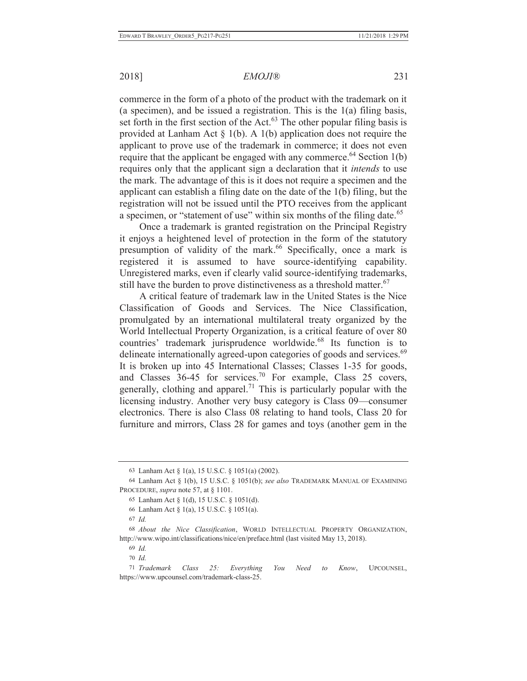## 2018] *EMOJI®* 231

commerce in the form of a photo of the product with the trademark on it (a specimen), and be issued a registration. This is the 1(a) filing basis, set forth in the first section of the Act.<sup>63</sup> The other popular filing basis is provided at Lanham Act  $\S$  1(b). A 1(b) application does not require the applicant to prove use of the trademark in commerce; it does not even require that the applicant be engaged with any commerce.<sup> $64$ </sup> Section 1(b) requires only that the applicant sign a declaration that it *intends* to use the mark. The advantage of this is it does not require a specimen and the applicant can establish a filing date on the date of the 1(b) filing, but the registration will not be issued until the PTO receives from the applicant a specimen, or "statement of use" within six months of the filing date.<sup>65</sup>

Once a trademark is granted registration on the Principal Registry it enjoys a heightened level of protection in the form of the statutory presumption of validity of the mark.<sup>66</sup> Specifically, once a mark is registered it is assumed to have source-identifying capability. Unregistered marks, even if clearly valid source-identifying trademarks, still have the burden to prove distinctiveness as a threshold matter.<sup>67</sup>

A critical feature of trademark law in the United States is the Nice Classification of Goods and Services. The Nice Classification, promulgated by an international multilateral treaty organized by the World Intellectual Property Organization, is a critical feature of over 80 countries' trademark jurisprudence worldwide.<sup>68</sup> Its function is to delineate internationally agreed-upon categories of goods and services.<sup>69</sup> It is broken up into 45 International Classes; Classes 1-35 for goods, and Classes  $36-45$  for services.<sup>70</sup> For example, Class 25 covers, generally, clothing and apparel.<sup>71</sup> This is particularly popular with the licensing industry. Another very busy category is Class 09—consumer electronics. There is also Class 08 relating to hand tools, Class 20 for furniture and mirrors, Class 28 for games and toys (another gem in the

<sup>63</sup> Lanham Act § 1(a), 15 U.S.C. § 1051(a) (2002).

<sup>64</sup> Lanham Act § 1(b), 15 U.S.C. § 1051(b); *see also* TRADEMARK MANUAL OF EXAMINING PROCEDURE, *supra* note 57, at § 1101.

<sup>65</sup> Lanham Act § 1(d), 15 U.S.C. § 1051(d).

<sup>66</sup> Lanham Act § 1(a), 15 U.S.C. § 1051(a).

<sup>67</sup> *Id.*

<sup>68</sup> *About the Nice Classification*, WORLD INTELLECTUAL PROPERTY ORGANIZATION, http://www.wipo.int/classifications/nice/en/preface.html (last visited May 13, 2018).

<sup>69</sup> *Id.*

<sup>70</sup> *Id.*

<sup>71</sup> *Trademark Class 25: Everything You Need to Know*, UPCOUNSEL, https://www.upcounsel.com/trademark-class-25.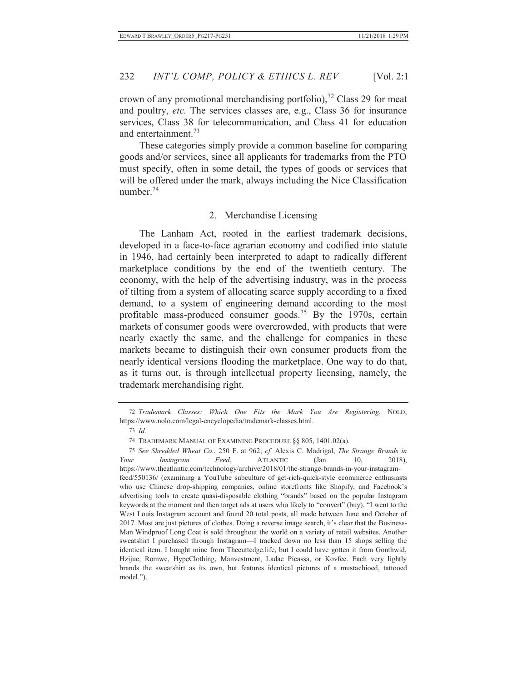crown of any promotional merchandising portfolio),<sup>72</sup> Class 29 for meat and poultry, *etc.* The services classes are, e.g., Class 36 for insurance services, Class 38 for telecommunication, and Class 41 for education and entertainment.73

These categories simply provide a common baseline for comparing goods and/or services, since all applicants for trademarks from the PTO must specify, often in some detail, the types of goods or services that will be offered under the mark, always including the Nice Classification number<sup>74</sup>

# 2. Merchandise Licensing

The Lanham Act, rooted in the earliest trademark decisions, developed in a face-to-face agrarian economy and codified into statute in 1946, had certainly been interpreted to adapt to radically different marketplace conditions by the end of the twentieth century. The economy, with the help of the advertising industry, was in the process of tilting from a system of allocating scarce supply according to a fixed demand, to a system of engineering demand according to the most profitable mass-produced consumer goods.<sup>75</sup> By the 1970s, certain markets of consumer goods were overcrowded, with products that were nearly exactly the same, and the challenge for companies in these markets became to distinguish their own consumer products from the nearly identical versions flooding the marketplace. One way to do that, as it turns out, is through intellectual property licensing, namely, the trademark merchandising right.

<sup>72</sup> *Trademark Classes: Which One Fits the Mark You Are Registering*, NOLO, https://www.nolo.com/legal-encyclopedia/trademark-classes.html.

<sup>73</sup> *Id.*

<sup>74</sup> TRADEMARK MANUAL OF EXAMINING PROCEDURE §§ 805, 1401.02(a).

<sup>75</sup> *See Shredded Wheat Co.*, 250 F. at 962; *cf.* Alexis C. Madrigal, *The Strange Brands in Your Instagram Feed*, ATLANTIC (Jan. 10, 2018), https://www.theatlantic.com/technology/archive/2018/01/the-strange-brands-in-your-instagramfeed/550136/ (examining a YouTube subculture of get-rich-quick-style ecommerce enthusiasts who use Chinese drop-shipping companies, online storefronts like Shopify, and Facebook's advertising tools to create quasi-disposable clothing "brands" based on the popular Instagram keywords at the moment and then target ads at users who likely to "convert" (buy). "I went to the West Louis Instagram account and found 20 total posts, all made between June and October of 2017. Most are just pictures of clothes. Doing a reverse image search, it's clear that the Business-Man Windproof Long Coat is sold throughout the world on a variety of retail websites. Another sweatshirt I purchased through Instagram—I tracked down no less than 15 shops selling the identical item. I bought mine from Thecuttedge.life, but I could have gotten it from Gonthwid, Hzijue, Romwe, HypeClothing, Manvestment, Ladae Picassa, or Kovfee. Each very lightly brands the sweatshirt as its own, but features identical pictures of a mustachioed, tattooed model.").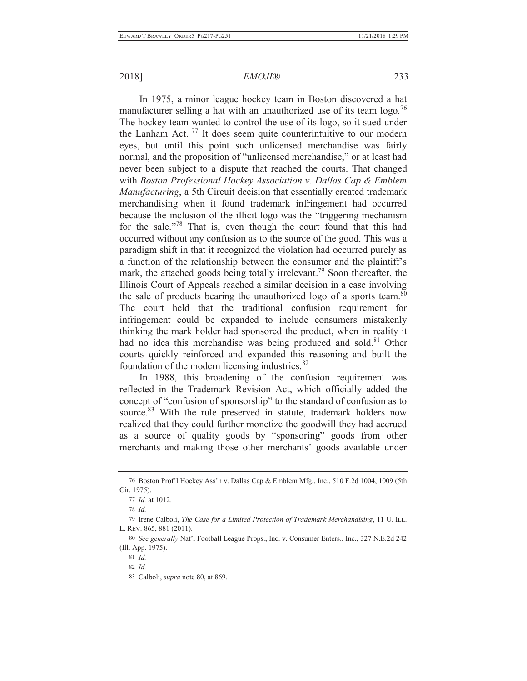In 1975, a minor league hockey team in Boston discovered a hat manufacturer selling a hat with an unauthorized use of its team logo.<sup>76</sup> The hockey team wanted to control the use of its logo, so it sued under the Lanham Act.<sup>77</sup> It does seem quite counterintuitive to our modern eyes, but until this point such unlicensed merchandise was fairly normal, and the proposition of "unlicensed merchandise," or at least had never been subject to a dispute that reached the courts. That changed with *Boston Professional Hockey Association v. Dallas Cap & Emblem Manufacturing*, a 5th Circuit decision that essentially created trademark merchandising when it found trademark infringement had occurred because the inclusion of the illicit logo was the "triggering mechanism for the sale."78 That is, even though the court found that this had occurred without any confusion as to the source of the good. This was a paradigm shift in that it recognized the violation had occurred purely as a function of the relationship between the consumer and the plaintiff's mark, the attached goods being totally irrelevant.<sup>79</sup> Soon thereafter, the Illinois Court of Appeals reached a similar decision in a case involving the sale of products bearing the unauthorized logo of a sports team.<sup>80</sup> The court held that the traditional confusion requirement for infringement could be expanded to include consumers mistakenly thinking the mark holder had sponsored the product, when in reality it had no idea this merchandise was being produced and sold.<sup>81</sup> Other courts quickly reinforced and expanded this reasoning and built the foundation of the modern licensing industries.<sup>82</sup>

In 1988, this broadening of the confusion requirement was reflected in the Trademark Revision Act, which officially added the concept of "confusion of sponsorship" to the standard of confusion as to source.<sup>83</sup> With the rule preserved in statute, trademark holders now realized that they could further monetize the goodwill they had accrued as a source of quality goods by "sponsoring" goods from other merchants and making those other merchants' goods available under

<sup>76</sup> Boston Prof'l Hockey Ass'n v. Dallas Cap & Emblem Mfg., Inc., 510 F.2d 1004, 1009 (5th Cir. 1975).

<sup>77</sup> *Id.* at 1012.

<sup>78</sup> *Id.*

<sup>79</sup> Irene Calboli, *The Case for a Limited Protection of Trademark Merchandising*, 11 U. ILL. L. REV. 865, 881 (2011).

<sup>80</sup> *See generally* Nat'l Football League Props., Inc. v. Consumer Enters., Inc., 327 N.E.2d 242 (Ill. App. 1975).

<sup>81</sup> *Id.*

<sup>82</sup> *Id.*

<sup>83</sup> Calboli, *supra* note 80, at 869.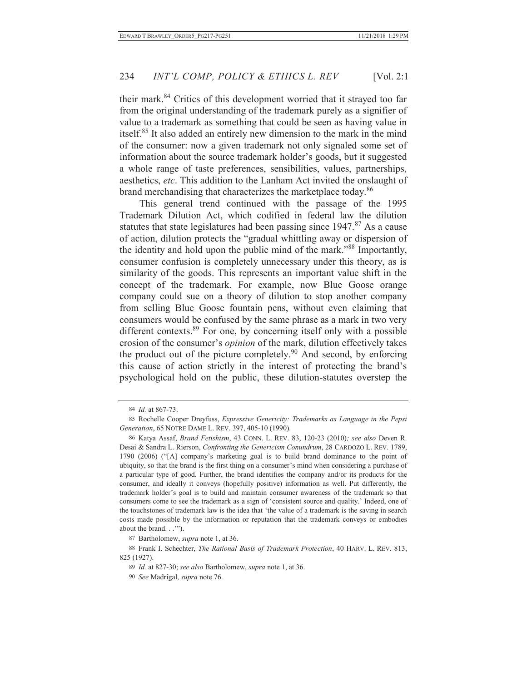their mark.84 Critics of this development worried that it strayed too far from the original understanding of the trademark purely as a signifier of value to a trademark as something that could be seen as having value in itself.85 It also added an entirely new dimension to the mark in the mind of the consumer: now a given trademark not only signaled some set of information about the source trademark holder's goods, but it suggested a whole range of taste preferences, sensibilities, values, partnerships, aesthetics, *etc*. This addition to the Lanham Act invited the onslaught of brand merchandising that characterizes the marketplace today.<sup>86</sup>

This general trend continued with the passage of the 1995 Trademark Dilution Act, which codified in federal law the dilution statutes that state legislatures had been passing since  $1947$ .<sup>87</sup> As a cause of action, dilution protects the "gradual whittling away or dispersion of the identity and hold upon the public mind of the mark."88 Importantly, consumer confusion is completely unnecessary under this theory, as is similarity of the goods. This represents an important value shift in the concept of the trademark. For example, now Blue Goose orange company could sue on a theory of dilution to stop another company from selling Blue Goose fountain pens, without even claiming that consumers would be confused by the same phrase as a mark in two very different contexts.<sup>89</sup> For one, by concerning itself only with a possible erosion of the consumer's *opinion* of the mark, dilution effectively takes the product out of the picture completely.<sup>90</sup> And second, by enforcing this cause of action strictly in the interest of protecting the brand's psychological hold on the public, these dilution-statutes overstep the

87 Bartholomew, *supra* note 1, at 36.

<sup>84</sup> *Id.* at 867-73.

<sup>85</sup> Rochelle Cooper Dreyfuss, *Expressive Genericity: Trademarks as Language in the Pepsi Generation*, 65 NOTRE DAME L. REV. 397, 405-10 (1990).

<sup>86</sup> Katya Assaf, *Brand Fetishism*, 43 CONN. L. REV. 83, 120-23 (2010)*; see also* Deven R. Desai & Sandra L. Rierson, *Confronting the Genericism Conundrum*, 28 CARDOZO L. REV. 1789, 1790 (2006) ("[A] company's marketing goal is to build brand dominance to the point of ubiquity, so that the brand is the first thing on a consumer's mind when considering a purchase of a particular type of good. Further, the brand identifies the company and/or its products for the consumer, and ideally it conveys (hopefully positive) information as well. Put differently, the trademark holder's goal is to build and maintain consumer awareness of the trademark so that consumers come to see the trademark as a sign of 'consistent source and quality.' Indeed, one of the touchstones of trademark law is the idea that 'the value of a trademark is the saving in search costs made possible by the information or reputation that the trademark conveys or embodies about the brand. . .'").

<sup>88</sup> Frank I. Schechter, *The Rational Basis of Trademark Protection*, 40 HARV. L. REV. 813, 825 (1927).

<sup>89</sup> *Id.* at 827-30; *see also* Bartholomew, *supra* note 1, at 36.

<sup>90</sup> *See* Madrigal, *supra* note 76.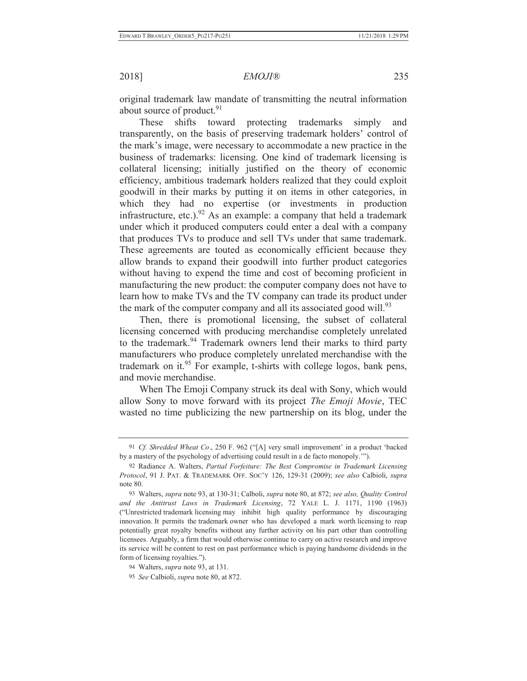original trademark law mandate of transmitting the neutral information about source of product.<sup>91</sup>

These shifts toward protecting trademarks simply and transparently, on the basis of preserving trademark holders' control of the mark's image, were necessary to accommodate a new practice in the business of trademarks: licensing. One kind of trademark licensing is collateral licensing; initially justified on the theory of economic efficiency, ambitious trademark holders realized that they could exploit goodwill in their marks by putting it on items in other categories, in which they had no expertise (or investments in production infrastructure, etc.).<sup>92</sup> As an example: a company that held a trademark under which it produced computers could enter a deal with a company that produces TVs to produce and sell TVs under that same trademark. These agreements are touted as economically efficient because they allow brands to expand their goodwill into further product categories without having to expend the time and cost of becoming proficient in manufacturing the new product: the computer company does not have to learn how to make TVs and the TV company can trade its product under the mark of the computer company and all its associated good will.<sup>93</sup>

Then, there is promotional licensing, the subset of collateral licensing concerned with producing merchandise completely unrelated to the trademark.94 Trademark owners lend their marks to third party manufacturers who produce completely unrelated merchandise with the trademark on it.95 For example, t-shirts with college logos, bank pens, and movie merchandise.

When The Emoji Company struck its deal with Sony, which would allow Sony to move forward with its project *The Emoji Movie*, TEC wasted no time publicizing the new partnership on its blog, under the

<sup>91</sup> *Cf. Shredded Wheat Co*., 250 F. 962 ("[A] very small improvement' in a product 'backed by a mastery of the psychology of advertising could result in a de facto monopoly.'").

<sup>92</sup> Radiance A. Walters, *Partial Forfeiture: The Best Compromise in Trademark Licensing Protocol*, 91 J. PAT. & TRADEMARK OFF. SOC'Y 126, 129-31 (2009); *see also* Calbioli, *supra* note 80.

<sup>93</sup> Walters, *supra* note 93, at 130-31; Calboli, *supra* note 80, at 872; *see also, Quality Control and the Antitrust Laws in Trademark Licensing*, 72 YALE L. J. 1171, 1190 (1963) ("Unrestricted trademark licensing may inhibit high quality performance by discouraging innovation. It permits the trademark owner who has developed a mark worth licensing to reap potentially great royalty benefits without any further activity on his part other than controlling licensees. Arguably, a firm that would otherwise continue to carry on active research and improve its service will be content to rest on past performance which is paying handsome dividends in the form of licensing royalties.").

<sup>94</sup> Walters, *supra* note 93, at 131.

<sup>95</sup> *See* Calbioli, *supra* note 80, at 872.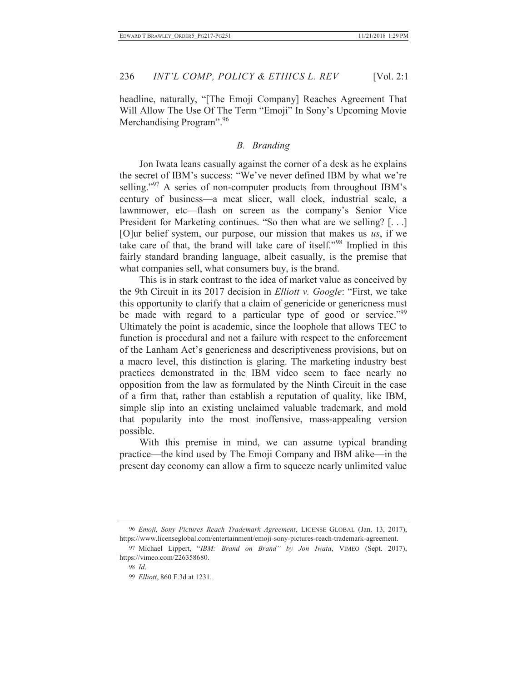headline, naturally, "[The Emoji Company] Reaches Agreement That Will Allow The Use Of The Term "Emoji" In Sony's Upcoming Movie Merchandising Program".<sup>96</sup>

#### *B. Branding*

Jon Iwata leans casually against the corner of a desk as he explains the secret of IBM's success: "We've never defined IBM by what we're selling."<sup>97</sup> A series of non-computer products from throughout IBM's century of business—a meat slicer, wall clock, industrial scale, a lawnmower, etc—flash on screen as the company's Senior Vice President for Marketing continues. "So then what are we selling? [...] [O]ur belief system, our purpose, our mission that makes us *us*, if we take care of that, the brand will take care of itself."98 Implied in this fairly standard branding language, albeit casually, is the premise that what companies sell, what consumers buy, is the brand.

This is in stark contrast to the idea of market value as conceived by the 9th Circuit in its 2017 decision in *Elliott v. Google*: "First, we take this opportunity to clarify that a claim of genericide or genericness must be made with regard to a particular type of good or service."<sup>99</sup> Ultimately the point is academic, since the loophole that allows TEC to function is procedural and not a failure with respect to the enforcement of the Lanham Act's genericness and descriptiveness provisions, but on a macro level, this distinction is glaring. The marketing industry best practices demonstrated in the IBM video seem to face nearly no opposition from the law as formulated by the Ninth Circuit in the case of a firm that, rather than establish a reputation of quality, like IBM, simple slip into an existing unclaimed valuable trademark, and mold that popularity into the most inoffensive, mass-appealing version possible.

With this premise in mind, we can assume typical branding practice—the kind used by The Emoji Company and IBM alike—in the present day economy can allow a firm to squeeze nearly unlimited value

<sup>96</sup> *Emoji, Sony Pictures Reach Trademark Agreement*, LICENSE GLOBAL (Jan. 13, 2017), https://www.licenseglobal.com/entertainment/emoji-sony-pictures-reach-trademark-agreement.

<sup>97</sup> Michael Lippert, "*IBM: Brand on Brand" by Jon Iwata*, VIMEO (Sept. 2017), https://vimeo.com/226358680.

<sup>98</sup> *Id*.

<sup>99</sup> *Elliott*, 860 F.3d at 1231.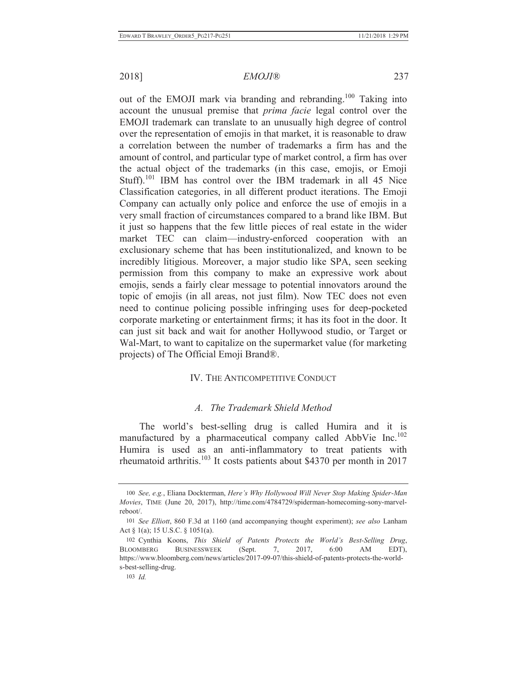out of the EMOJI mark via branding and rebranding.100 Taking into account the unusual premise that *prima facie* legal control over the EMOJI trademark can translate to an unusually high degree of control over the representation of emojis in that market, it is reasonable to draw a correlation between the number of trademarks a firm has and the amount of control, and particular type of market control, a firm has over the actual object of the trademarks (in this case, emojis, or Emoji Stuff).<sup>101</sup> IBM has control over the IBM trademark in all 45 Nice Classification categories, in all different product iterations. The Emoji Company can actually only police and enforce the use of emojis in a very small fraction of circumstances compared to a brand like IBM. But it just so happens that the few little pieces of real estate in the wider market TEC can claim—industry-enforced cooperation with an exclusionary scheme that has been institutionalized, and known to be incredibly litigious. Moreover, a major studio like SPA, seen seeking permission from this company to make an expressive work about emojis, sends a fairly clear message to potential innovators around the topic of emojis (in all areas, not just film). Now TEC does not even need to continue policing possible infringing uses for deep-pocketed corporate marketing or entertainment firms; it has its foot in the door. It can just sit back and wait for another Hollywood studio, or Target or Wal-Mart, to want to capitalize on the supermarket value (for marketing projects) of The Official Emoji Brand®.

## IV. THE ANTICOMPETITIVE CONDUCT

## *A. The Trademark Shield Method*

The world's best-selling drug is called Humira and it is manufactured by a pharmaceutical company called AbbVie Inc.<sup>102</sup> Humira is used as an anti-inflammatory to treat patients with rheumatoid arthritis.103 It costs patients about \$4370 per month in 2017

<sup>100</sup> *See, e.g.*, Eliana Dockterman, *Here's Why Hollywood Will Never Stop Making Spider-Man Movies*, TIME (June 20, 2017), http://time.com/4784729/spiderman-homecoming-sony-marvelreboot/.

<sup>101</sup> *See Elliott*, 860 F.3d at 1160 (and accompanying thought experiment); *see also* Lanham Act § 1(a); 15 U.S.C. § 1051(a).

<sup>102</sup> Cynthia Koons, *This Shield of Patents Protects the World's Best-Selling Drug*, BLOOMBERG BUSINESSWEEK (Sept. 7, 2017, 6:00 AM EDT), https://www.bloomberg.com/news/articles/2017-09-07/this-shield-of-patents-protects-the-worlds-best-selling-drug.

<sup>103</sup> *Id.*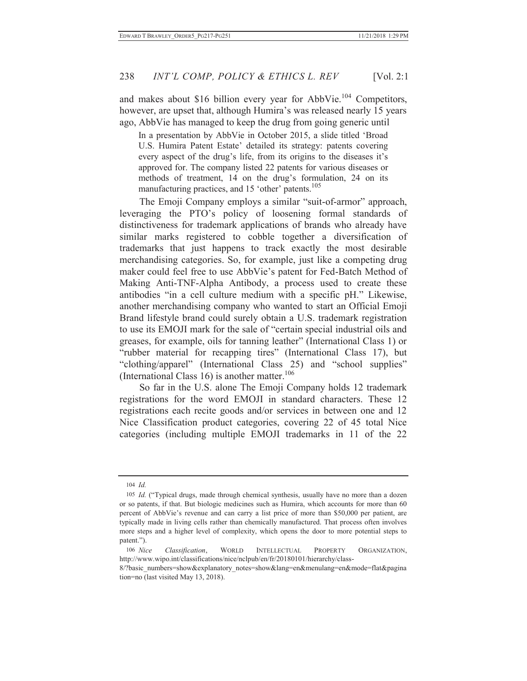and makes about \$16 billion every year for AbbVie.<sup>104</sup> Competitors, however, are upset that, although Humira's was released nearly 15 years ago, AbbVie has managed to keep the drug from going generic until

In a presentation by AbbVie in October 2015, a slide titled 'Broad U.S. Humira Patent Estate' detailed its strategy: patents covering every aspect of the drug's life, from its origins to the diseases it's approved for. The company listed 22 patents for various diseases or methods of treatment, 14 on the drug's formulation, 24 on its manufacturing practices, and 15 'other' patents.<sup>105</sup>

The Emoji Company employs a similar "suit-of-armor" approach, leveraging the PTO's policy of loosening formal standards of distinctiveness for trademark applications of brands who already have similar marks registered to cobble together a diversification of trademarks that just happens to track exactly the most desirable merchandising categories. So, for example, just like a competing drug maker could feel free to use AbbVie's patent for Fed-Batch Method of Making Anti-TNF-Alpha Antibody, a process used to create these antibodies "in a cell culture medium with a specific pH." Likewise, another merchandising company who wanted to start an Official Emoji Brand lifestyle brand could surely obtain a U.S. trademark registration to use its EMOJI mark for the sale of "certain special industrial oils and greases, for example, oils for tanning leather" (International Class 1) or "rubber material for recapping tires" (International Class 17), but "clothing/apparel" (International Class 25) and "school supplies" (International Class 16) is another matter. $106$ 

So far in the U.S. alone The Emoji Company holds 12 trademark registrations for the word EMOJI in standard characters. These 12 registrations each recite goods and/or services in between one and 12 Nice Classification product categories, covering 22 of 45 total Nice categories (including multiple EMOJI trademarks in 11 of the 22

<sup>104</sup> *Id.*

<sup>105</sup> *Id.* ("Typical drugs, made through chemical synthesis, usually have no more than a dozen or so patents, if that. But biologic medicines such as Humira, which accounts for more than 60 percent of AbbVie's revenue and can carry a list price of more than \$50,000 per patient, are typically made in living cells rather than chemically manufactured. That process often involves more steps and a higher level of complexity, which opens the door to more potential steps to patent.").

<sup>106</sup> *Nice Classification*, WORLD INTELLECTUAL PROPERTY ORGANIZATION, http://www.wipo.int/classifications/nice/nclpub/en/fr/20180101/hierarchy/class-

<sup>8/?</sup>basic\_numbers=show&explanatory\_notes=show&lang=en&menulang=en&mode=flat&pagina tion=no (last visited May 13, 2018).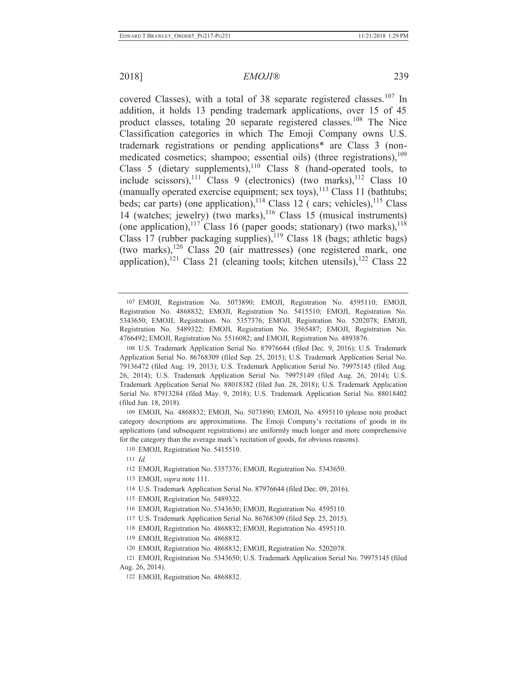covered Classes), with a total of 38 separate registered classes.<sup>107</sup> In addition, it holds 13 pending trademark applications, over 15 of 45 product classes, totaling 20 separate registered classes.<sup>108</sup> The Nice Classification categories in which The Emoji Company owns U.S. trademark registrations or pending applications\* are Class 3 (nonmedicated cosmetics; shampoo; essential oils) (three registrations), $109$ Class 5 (dietary supplements), $110$  Class 8 (hand-operated tools, to include scissors),<sup>111</sup> Class 9 (electronics) (two marks),<sup>112</sup> Class 10 (manually operated exercise equipment; sex toys), $^{113}$  Class 11 (bathtubs; beds; car parts) (one application), $114$  Class 12 ( cars; vehicles), $115$  Class 14 (watches; jewelry) (two marks), $116$  Class 15 (musical instruments) (one application),<sup>117</sup> Class 16 (paper goods; stationary) (two marks),<sup>118</sup> Class 17 (rubber packaging supplies), $119$  Class 18 (bags; athletic bags) (two marks), $120$  Class 20 (air mattresses) (one registered mark, one application),<sup>121</sup> Class 21 (cleaning tools; kitchen utensils),<sup>122</sup> Class 22

109 EMOJI, No. 4868832; EMOJI, No. 5073890; EMOJI, No. 4595110 (please note product category descriptions are approximations. The Emoji Company's recitations of goods in its applications (and subsequent registrations) are uniformly much longer and more comprehensive for the category than the average mark's recitation of goods, for obvious reasons).

110 EMOJI, Registration No. 5415510.

- 113 EMOJI, *supra* note 111.
- 114 U.S. Trademark Application Serial No. 87976644 (filed Dec. 09, 2016).
- 115 EMOJI, Registration No. 5489322.
- 116 EMOJI, Registration No. 5343650; EMOJI, Registration No. 4595110.
- 117 U.S. Trademark Application Serial No. 86768309 (filed Sep. 25, 2015).
- 118 EMOJI, Registration No. 4868832; EMOJI, Registration No. 4595110.
- 119 EMOJI, Registration No. 4868832.
- 120 EMOJI, Registration No. 4868832; EMOJI, Registration No. 5202078.
- 121 EMOJI, Registration No. 5343650; U.S. Trademark Application Serial No. 79975145 (filed Aug. 26, 2014).
	- 122 EMOJI, Registration No. 4868832.

<sup>107</sup> EMOJI, Registration No. 5073890; EMOJI, Registration No. 4595110; EMOJI, Registration No. 4868832; EMOJI, Registration No. 5415510; EMOJI, Registration No. 5343650; EMOJI, Registration. No. 5357376; EMOJI, Registration No. 5202078; EMOJI, Registration No. 5489322; EMOJI, Registration No. 3565487; EMOJI, Registration No. 4766492; EMOJI, Registration No. 5516082; and EMOJI, Registration No. 4893876.

<sup>108</sup> U.S. Trademark Application Serial No. 87976644 (filed Dec. 9, 2016); U.S. Trademark Application Serial No. 86768309 (filed Sep. 25, 2015); U.S. Trademark Application Serial No. 79136472 (filed Aug. 19, 2013); U.S. Trademark Application Serial No. 79975145 (filed Aug. 26, 2014); U.S. Trademark Application Serial No. 79975149 (filed Aug. 26, 2014); U.S. Trademark Application Serial No. 88018382 (filed Jun. 28, 2018); U.S. Trademark Application Serial No. 87913284 (filed May. 9, 2018); U.S. Trademark Application Serial No. 88018402 (filed Jun. 18, 2018).

<sup>111</sup> *Id.*

<sup>112</sup> EMOJI, Registration No. 5357376; EMOJI, Registration No. 5343650.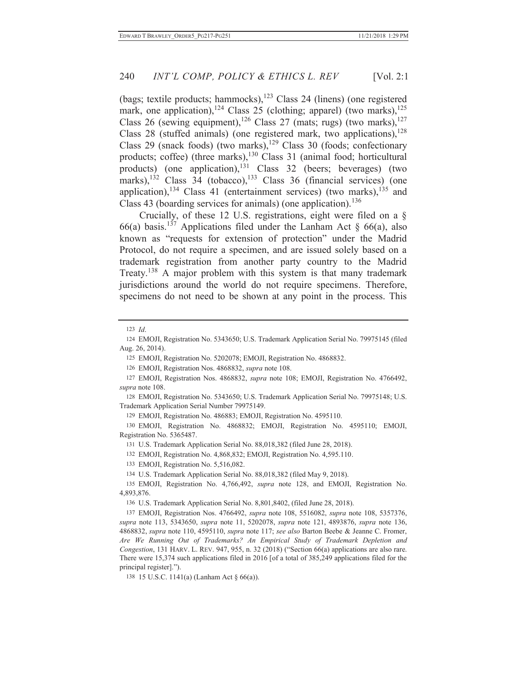(bags; textile products; hammocks), $123$  Class 24 (linens) (one registered mark, one application),<sup>124</sup> Class 25 (clothing; apparel) (two marks),<sup>125</sup> Class 26 (sewing equipment),<sup>126</sup> Class 27 (mats; rugs) (two marks),<sup>127</sup> Class 28 (stuffed animals) (one registered mark, two applications),  $^{128}$ Class 29 (snack foods) (two marks),<sup>129</sup> Class 30 (foods; confectionary products; coffee) (three marks),<sup>130</sup> Class 31 (animal food; horticultural products) (one application), $131$  Class 32 (beers; beverages) (two marks), $^{132}$  Class 34 (tobacco), $^{133}$  Class 36 (financial services) (one application),<sup>134</sup> Class 41 (entertainment services) (two marks), $^{135}$  and Class 43 (boarding services for animals) (one application).<sup>136</sup>

Crucially, of these 12 U.S. registrations, eight were filed on a § 66(a) basis.<sup>137</sup> Applications filed under the Lanham Act  $\S$  66(a), also known as "requests for extension of protection" under the Madrid Protocol, do not require a specimen, and are issued solely based on a trademark registration from another party country to the Madrid Treaty.<sup>138</sup> A major problem with this system is that many trademark jurisdictions around the world do not require specimens. Therefore, specimens do not need to be shown at any point in the process. This

123 *Id*.

125 EMOJI, Registration No. 5202078; EMOJI, Registration No. 4868832.

126 EMOJI, Registration Nos. 4868832, *supra* note 108.

127 EMOJI, Registration Nos. 4868832, *supra* note 108; EMOJI, Registration No. 4766492, *supra* note 108.

128 EMOJI, Registration No. 5343650; U.S. Trademark Application Serial No. 79975148; U.S. Trademark Application Serial Number 79975149.

129 EMOJI, Registration No. 486883; EMOJI, Registration No. 4595110.

130 EMOJI, Registration No. 4868832; EMOJI, Registration No. 4595110; EMOJI, Registration No. 5365487.

131 U.S. Trademark Application Serial No. 88,018,382 (filed June 28, 2018).

132 EMOJI, Registration No. 4,868,832; EMOJI, Registration No. 4,595.110.

133 EMOJI, Registration No. 5,516,082.

134 U.S. Trademark Application Serial No. 88,018,382 (filed May 9, 2018).

135 EMOJI, Registration No. 4,766,492, *supra* note 128, and EMOJI, Registration No. 4,893,876.

136 U.S. Trademark Application Serial No. 8,801,8402, (filed June 28, 2018).

137 EMOJI, Registration Nos. 4766492, *supra* note 108, 5516082, *supra* note 108, 5357376, *supra* note 113, 5343650, *supra* note 11, 5202078, *supra* note 121, 4893876, *supra* note 136, 4868832, *supra* note 110, 4595110, *supra* note 117; *see also* Barton Beebe & Jeanne C. Fromer, *Are We Running Out of Trademarks? An Empirical Study of Trademark Depletion and Congestion*, 131 HARV. L. REV. 947, 955, n. 32 (2018) ("Section 66(a) applications are also rare. There were 15,374 such applications filed in 2016 [of a total of 385,249 applications filed for the principal register].").

138 15 U.S.C. 1141(a) (Lanham Act § 66(a)).

<sup>124</sup> EMOJI, Registration No. 5343650; U.S. Trademark Application Serial No. 79975145 (filed Aug. 26, 2014).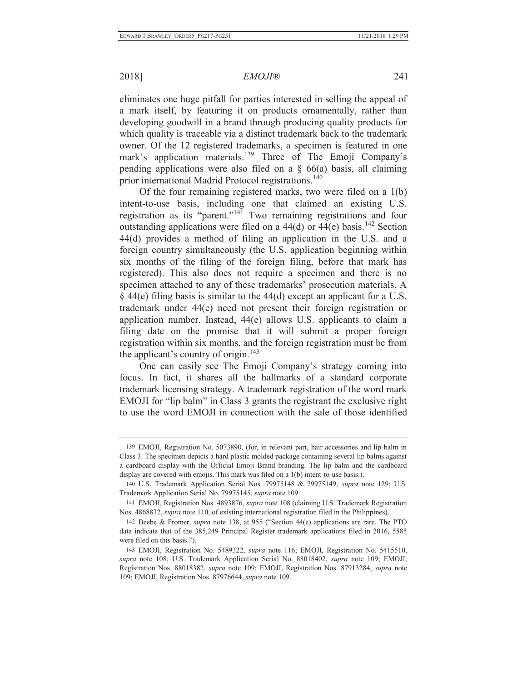## 2018] *EMOJI®* 241

eliminates one huge pitfall for parties interested in selling the appeal of a mark itself, by featuring it on products ornamentally, rather than developing goodwill in a brand through producing quality products for which quality is traceable via a distinct trademark back to the trademark owner. Of the 12 registered trademarks, a specimen is featured in one mark's application materials.<sup>139</sup> Three of The Emoji Company's pending applications were also filed on a  $\S$  66(a) basis, all claiming prior international Madrid Protocol registrations.<sup>140</sup>

Of the four remaining registered marks, two were filed on a 1(b) intent-to-use basis, including one that claimed an existing U.S. registration as its "parent."141 Two remaining registrations and four outstanding applications were filed on a  $44(d)$  or  $44(e)$  basis.<sup>142</sup> Section 44(d) provides a method of filing an application in the U.S. and a foreign country simultaneously (the U.S. application beginning within six months of the filing of the foreign filing, before that mark has registered). This also does not require a specimen and there is no specimen attached to any of these trademarks' prosecution materials. A § 44(e) filing basis is similar to the 44(d) except an applicant for a U.S. trademark under 44(e) need not present their foreign registration or application number. Instead, 44(e) allows U.S. applicants to claim a filing date on the promise that it will submit a proper foreign registration within six months, and the foreign registration must be from the applicant's country of origin.<sup>143</sup>

One can easily see The Emoji Company's strategy coming into focus. In fact, it shares all the hallmarks of a standard corporate trademark licensing strategy. A trademark registration of the word mark EMOJI for "lip balm" in Class 3 grants the registrant the exclusive right to use the word EMOJI in connection with the sale of those identified

<sup>139</sup> EMOJI, Registration No. 5073890, (for, in relevant part, hair accessories and lip balm in Class 3. The specimen depicts a hard plastic molded package containing several lip balms against a cardboard display with the Official Emoji Brand branding. The lip balm and the cardboard display are covered with emojis. This mark was filed on a 1(b) intent-to-use basis.).

<sup>140</sup> U.S. Trademark Application Serial Nos. 79975148 & 79975149, *supra* note 129; U.S. Trademark Application Serial No. 79975145, *supra* note 109.

<sup>141</sup> EMOJI, Registration Nos. 4893876, *supra* note 108 (claiming U.S. Trademark Registration Nos. 4868832, *supra* note 110, of existing international registration filed in the Philippines).

<sup>142</sup> Beebe & Fromer, *supra* note 138, at 955 ("Section 44(e) applications are rare. The PTO data indicate that of the 385,249 Principal Register trademark applications filed in 2016, 5585 were filed on this basis.").

<sup>143</sup> EMOJI, Registration No. 5489322, *supra* note 116; EMOJI, Registration No. 5415510, *supra* note 108; U.S. Trademark Application Serial No. 88018402, *supra* note 109; EMOJI, Registration Nos. 88018382, *supra* note 109; EMOJI, Registration Nos. 87913284, *supra* note 109; EMOJI, Registration Nos. 87976644, *supra* note 109.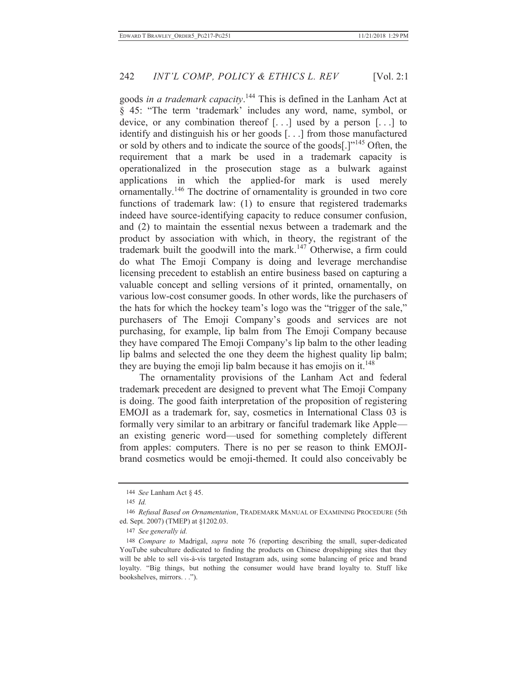goods *in a trademark capacity*. 144 This is defined in the Lanham Act at § 45: "The term 'trademark' includes any word, name, symbol, or device, or any combination thereof [. . .] used by a person [. . .] to identify and distinguish his or her goods [. . .] from those manufactured or sold by others and to indicate the source of the goods[.]"<sup>145</sup> Often, the requirement that a mark be used in a trademark capacity is operationalized in the prosecution stage as a bulwark against applications in which the applied-for mark is used merely ornamentally.146 The doctrine of ornamentality is grounded in two core functions of trademark law: (1) to ensure that registered trademarks indeed have source-identifying capacity to reduce consumer confusion, and (2) to maintain the essential nexus between a trademark and the product by association with which, in theory, the registrant of the trademark built the goodwill into the mark.147 Otherwise, a firm could do what The Emoji Company is doing and leverage merchandise licensing precedent to establish an entire business based on capturing a valuable concept and selling versions of it printed, ornamentally, on various low-cost consumer goods. In other words, like the purchasers of the hats for which the hockey team's logo was the "trigger of the sale," purchasers of The Emoji Company's goods and services are not purchasing, for example, lip balm from The Emoji Company because they have compared The Emoji Company's lip balm to the other leading lip balms and selected the one they deem the highest quality lip balm; they are buying the emoji lip balm because it has emojis on it.<sup>148</sup>

The ornamentality provisions of the Lanham Act and federal trademark precedent are designed to prevent what The Emoji Company is doing. The good faith interpretation of the proposition of registering EMOJI as a trademark for, say, cosmetics in International Class 03 is formally very similar to an arbitrary or fanciful trademark like Apple an existing generic word—used for something completely different from apples: computers. There is no per se reason to think EMOJIbrand cosmetics would be emoji-themed. It could also conceivably be

<sup>144</sup> *See* Lanham Act § 45.

<sup>145</sup> *Id.*

<sup>146</sup> *Refusal Based on Ornamentation*, TRADEMARK MANUAL OF EXAMINING PROCEDURE (5th ed. Sept. 2007) (TMEP) at §1202.03.

<sup>147</sup> *See generally id.*

<sup>148</sup> *Compare to* Madrigal, *supra* note 76 (reporting describing the small, super-dedicated YouTube subculture dedicated to finding the products on Chinese dropshipping sites that they will be able to sell vis-à-vis targeted Instagram ads, using some balancing of price and brand loyalty. "Big things, but nothing the consumer would have brand loyalty to. Stuff like bookshelves, mirrors. . .").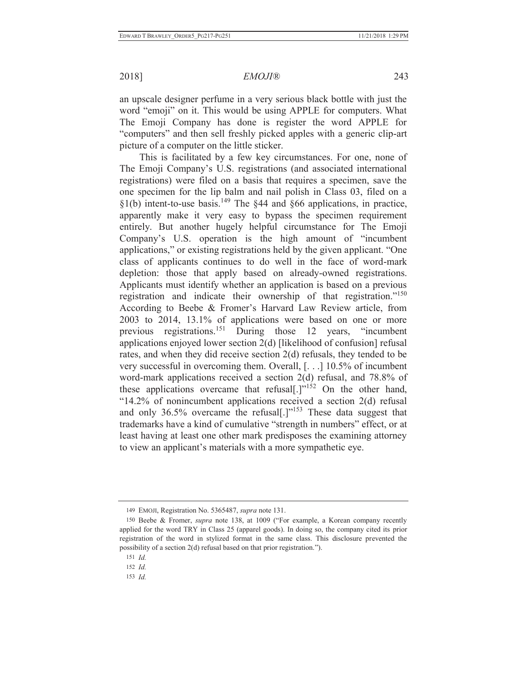an upscale designer perfume in a very serious black bottle with just the word "emoji" on it. This would be using APPLE for computers. What The Emoji Company has done is register the word APPLE for "computers" and then sell freshly picked apples with a generic clip-art picture of a computer on the little sticker.

This is facilitated by a few key circumstances. For one, none of The Emoji Company's U.S. registrations (and associated international registrations) were filed on a basis that requires a specimen, save the one specimen for the lip balm and nail polish in Class 03, filed on a  $\S1(b)$  intent-to-use basis.<sup>149</sup> The  $\S44$  and  $\S66$  applications, in practice, apparently make it very easy to bypass the specimen requirement entirely. But another hugely helpful circumstance for The Emoji Company's U.S. operation is the high amount of "incumbent applications," or existing registrations held by the given applicant. "One class of applicants continues to do well in the face of word-mark depletion: those that apply based on already-owned registrations. Applicants must identify whether an application is based on a previous registration and indicate their ownership of that registration."<sup>150</sup> According to Beebe & Fromer's Harvard Law Review article, from 2003 to 2014, 13.1% of applications were based on one or more previous registrations.151 During those 12 years, "incumbent applications enjoyed lower section 2(d) [likelihood of confusion] refusal rates, and when they did receive section 2(d) refusals, they tended to be very successful in overcoming them. Overall, [. . .] 10.5% of incumbent word-mark applications received a section 2(d) refusal, and 78.8% of these applications overcame that refusal[.] $v$ <sup>152</sup> On the other hand, "14.2% of nonincumbent applications received a section 2(d) refusal and only 36.5% overcame the refusal[.]"<sup>153</sup> These data suggest that trademarks have a kind of cumulative "strength in numbers" effect, or at least having at least one other mark predisposes the examining attorney to view an applicant's materials with a more sympathetic eye.

<sup>149</sup> EMOJI, Registration No. 5365487, *supra* note 131.

<sup>150</sup> Beebe & Fromer, *supra* note 138, at 1009 ("For example, a Korean company recently applied for the word TRY in Class 25 (apparel goods). In doing so, the company cited its prior registration of the word in stylized format in the same class. This disclosure prevented the possibility of a section 2(d) refusal based on that prior registration.").

<sup>151</sup> *Id.*

<sup>152</sup> *Id.*

<sup>153</sup> *Id.*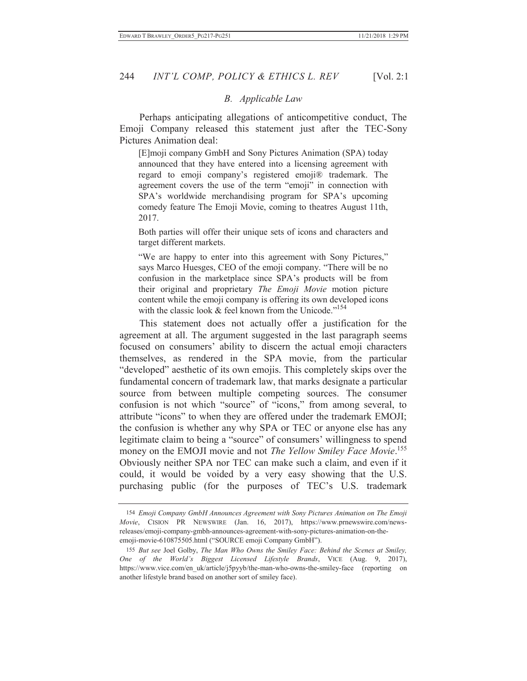## *B. Applicable Law*

Perhaps anticipating allegations of anticompetitive conduct, The Emoji Company released this statement just after the TEC-Sony Pictures Animation deal:

[E]moji company GmbH and Sony Pictures Animation (SPA) today announced that they have entered into a licensing agreement with regard to emoji company's registered emoji® trademark. The agreement covers the use of the term "emoji" in connection with SPA's worldwide merchandising program for SPA's upcoming comedy feature The Emoji Movie, coming to theatres August 11th, 2017.

Both parties will offer their unique sets of icons and characters and target different markets.

"We are happy to enter into this agreement with Sony Pictures," says Marco Huesges, CEO of the emoji company. "There will be no confusion in the marketplace since SPA's products will be from their original and proprietary *The Emoji Movie* motion picture content while the emoji company is offering its own developed icons with the classic look  $&$  feel known from the Unicode."<sup>154</sup>

This statement does not actually offer a justification for the agreement at all. The argument suggested in the last paragraph seems focused on consumers' ability to discern the actual emoji characters themselves, as rendered in the SPA movie, from the particular "developed" aesthetic of its own emojis. This completely skips over the fundamental concern of trademark law, that marks designate a particular source from between multiple competing sources. The consumer confusion is not which "source" of "icons," from among several, to attribute "icons" to when they are offered under the trademark EMOJI; the confusion is whether any why SPA or TEC or anyone else has any legitimate claim to being a "source" of consumers' willingness to spend money on the EMOJI movie and not *The Yellow Smiley Face Movie*. 155 Obviously neither SPA nor TEC can make such a claim, and even if it could, it would be voided by a very easy showing that the U.S. purchasing public (for the purposes of TEC's U.S. trademark

<sup>154</sup> *Emoji Company GmbH Announces Agreement with Sony Pictures Animation on The Emoji Movie*, CISION PR NEWSWIRE (Jan. 16, 2017), https://www.prnewswire.com/newsreleases/emoji-company-gmbh-announces-agreement-with-sony-pictures-animation-on-theemoji-movie-610875505.html ("SOURCE emoji Company GmbH").

<sup>155</sup> *But see* Joel Golby, *The Man Who Owns the Smiley Face: Behind the Scenes at Smiley, One of the World's Biggest Licensed Lifestyle Brands*, VICE (Aug. 9, 2017), https://www.vice.com/en\_uk/article/j5pyyb/the-man-who-owns-the-smiley-face (reporting on another lifestyle brand based on another sort of smiley face).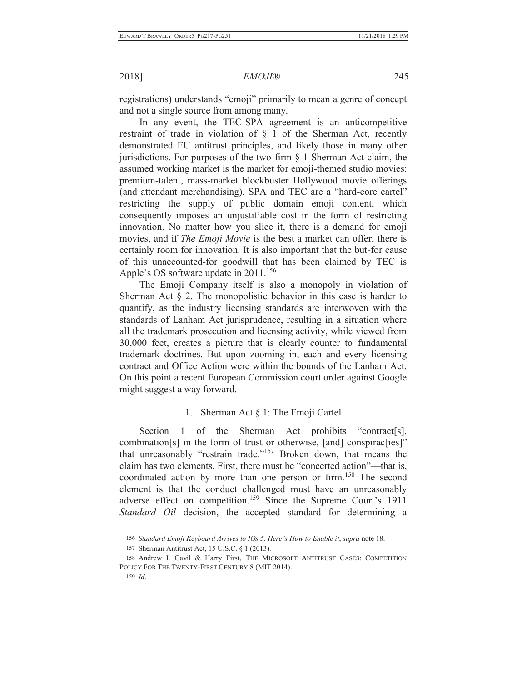registrations) understands "emoji" primarily to mean a genre of concept and not a single source from among many.

In any event, the TEC-SPA agreement is an anticompetitive restraint of trade in violation of § 1 of the Sherman Act, recently demonstrated EU antitrust principles, and likely those in many other jurisdictions. For purposes of the two-firm § 1 Sherman Act claim, the assumed working market is the market for emoji-themed studio movies: premium-talent, mass-market blockbuster Hollywood movie offerings (and attendant merchandising). SPA and TEC are a "hard-core cartel" restricting the supply of public domain emoji content, which consequently imposes an unjustifiable cost in the form of restricting innovation. No matter how you slice it, there is a demand for emoji movies, and if *The Emoji Movie* is the best a market can offer, there is certainly room for innovation. It is also important that the but-for cause of this unaccounted-for goodwill that has been claimed by TEC is Apple's OS software update in  $2011$ <sup>156</sup>

The Emoji Company itself is also a monopoly in violation of Sherman Act  $\S$  2. The monopolistic behavior in this case is harder to quantify, as the industry licensing standards are interwoven with the standards of Lanham Act jurisprudence, resulting in a situation where all the trademark prosecution and licensing activity, while viewed from 30,000 feet, creates a picture that is clearly counter to fundamental trademark doctrines. But upon zooming in, each and every licensing contract and Office Action were within the bounds of the Lanham Act. On this point a recent European Commission court order against Google might suggest a way forward.

## 1. Sherman Act § 1: The Emoji Cartel

Section 1 of the Sherman Act prohibits "contract[s], combination[s] in the form of trust or otherwise, [and] conspirac[ies]" that unreasonably "restrain trade."157 Broken down, that means the claim has two elements. First, there must be "concerted action"—that is, coordinated action by more than one person or firm.<sup>158</sup> The second element is that the conduct challenged must have an unreasonably adverse effect on competition.<sup>159</sup> Since the Supreme Court's 1911 *Standard Oil* decision, the accepted standard for determining a

<sup>156</sup> *Standard Emoji Keyboard Arrives to IOs 5, Here's How to Enable it*, *supra* note 18.

<sup>157</sup> Sherman Antitrust Act, 15 U.S.C. § 1 (2013).

<sup>158</sup> Andrew I. Gavil & Harry First, THE MICROSOFT ANTITRUST CASES: COMPETITION POLICY FOR THE TWENTY-FIRST CENTURY 8 (MIT 2014).

<sup>159</sup> *Id*.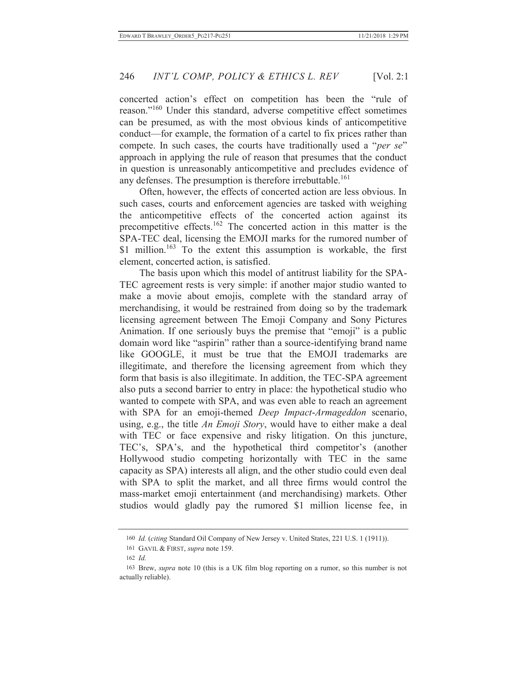concerted action's effect on competition has been the "rule of reason."160 Under this standard, adverse competitive effect sometimes can be presumed, as with the most obvious kinds of anticompetitive conduct—for example, the formation of a cartel to fix prices rather than compete. In such cases, the courts have traditionally used a "*per se*" approach in applying the rule of reason that presumes that the conduct in question is unreasonably anticompetitive and precludes evidence of any defenses. The presumption is therefore irrebuttable.<sup>161</sup>

Often, however, the effects of concerted action are less obvious. In such cases, courts and enforcement agencies are tasked with weighing the anticompetitive effects of the concerted action against its precompetitive effects.162 The concerted action in this matter is the SPA-TEC deal, licensing the EMOJI marks for the rumored number of \$1 million.<sup>163</sup> To the extent this assumption is workable, the first element, concerted action, is satisfied.

The basis upon which this model of antitrust liability for the SPA-TEC agreement rests is very simple: if another major studio wanted to make a movie about emojis, complete with the standard array of merchandising, it would be restrained from doing so by the trademark licensing agreement between The Emoji Company and Sony Pictures Animation. If one seriously buys the premise that "emoji" is a public domain word like "aspirin" rather than a source-identifying brand name like GOOGLE, it must be true that the EMOJI trademarks are illegitimate, and therefore the licensing agreement from which they form that basis is also illegitimate. In addition, the TEC-SPA agreement also puts a second barrier to entry in place: the hypothetical studio who wanted to compete with SPA, and was even able to reach an agreement with SPA for an emoji-themed *Deep Impact*-*Armageddon* scenario, using, e.g., the title *An Emoji Story*, would have to either make a deal with TEC or face expensive and risky litigation. On this juncture, TEC's, SPA's, and the hypothetical third competitor's (another Hollywood studio competing horizontally with TEC in the same capacity as SPA) interests all align, and the other studio could even deal with SPA to split the market, and all three firms would control the mass-market emoji entertainment (and merchandising) markets. Other studios would gladly pay the rumored \$1 million license fee, in

<sup>160</sup> *Id.* (*citing* Standard Oil Company of New Jersey v. United States, 221 U.S. 1 (1911)).

<sup>161</sup> GAVIL & FIRST, *supra* note 159.

<sup>162</sup> *Id.*

<sup>163</sup> Brew, *supra* note 10 (this is a UK film blog reporting on a rumor, so this number is not actually reliable).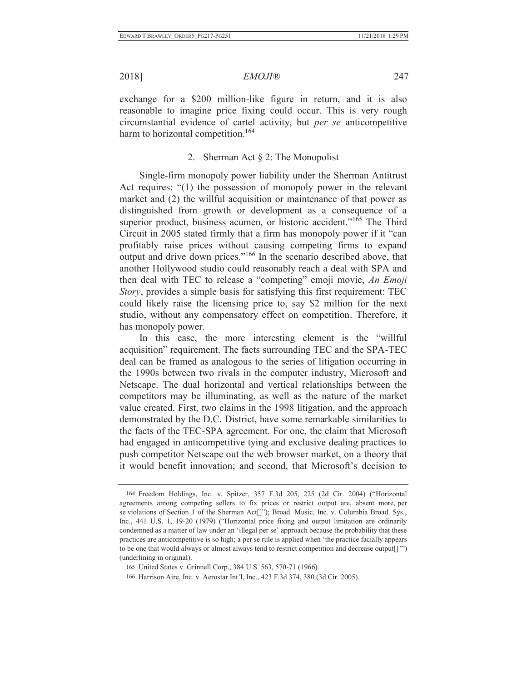exchange for a \$200 million-like figure in return, and it is also reasonable to imagine price fixing could occur. This is very rough circumstantial evidence of cartel activity, but *per se* anticompetitive harm to horizontal competition.<sup>164</sup>

# 2. Sherman Act § 2: The Monopolist

Single-firm monopoly power liability under the Sherman Antitrust Act requires: "(1) the possession of monopoly power in the relevant market and (2) the willful acquisition or maintenance of that power as distinguished from growth or development as a consequence of a superior product, business acumen, or historic accident."<sup>165</sup> The Third Circuit in 2005 stated firmly that a firm has monopoly power if it "can profitably raise prices without causing competing firms to expand output and drive down prices."166 In the scenario described above, that another Hollywood studio could reasonably reach a deal with SPA and then deal with TEC to release a "competing" emoji movie, *An Emoji Story*, provides a simple basis for satisfying this first requirement: TEC could likely raise the licensing price to, say \$2 million for the next studio, without any compensatory effect on competition. Therefore, it has monopoly power.

In this case, the more interesting element is the "willful acquisition" requirement. The facts surrounding TEC and the SPA-TEC deal can be framed as analogous to the series of litigation occurring in the 1990s between two rivals in the computer industry, Microsoft and Netscape. The dual horizontal and vertical relationships between the competitors may be illuminating, as well as the nature of the market value created. First, two claims in the 1998 litigation, and the approach demonstrated by the D.C. District, have some remarkable similarities to the facts of the TEC-SPA agreement. For one, the claim that Microsoft had engaged in anticompetitive tying and exclusive dealing practices to push competitor Netscape out the web browser market, on a theory that it would benefit innovation; and second, that Microsoft's decision to

<sup>164</sup> Freedom Holdings, Inc. v. Spitzer, 357 F.3d 205, 225 (2d Cir. 2004) ("Horizontal agreements among competing sellers to fix prices or restrict output are, absent more, per se violations of Section 1 of the Sherman Act[]"); Broad. Music, Inc. v. Columbia Broad. Sys., Inc., 441 U.S. 1, 19-20 (1979) ("Horizontal price fixing and output limitation are ordinarily condemned as a matter of law under an 'illegal per se' approach because the probability that these practices are anticompetitive is so high; a per se rule is applied when 'the practice facially appears to be one that would always or almost always tend to restrict competition and decrease output[]'") (underlining in original).

<sup>165</sup> United States v. Grinnell Corp., 384 U.S. 563, 570-71 (1966).

<sup>166</sup> Harrison Aire, Inc. v. Aerostar Int'l, Inc., 423 F.3d 374, 380 (3d Cir. 2005).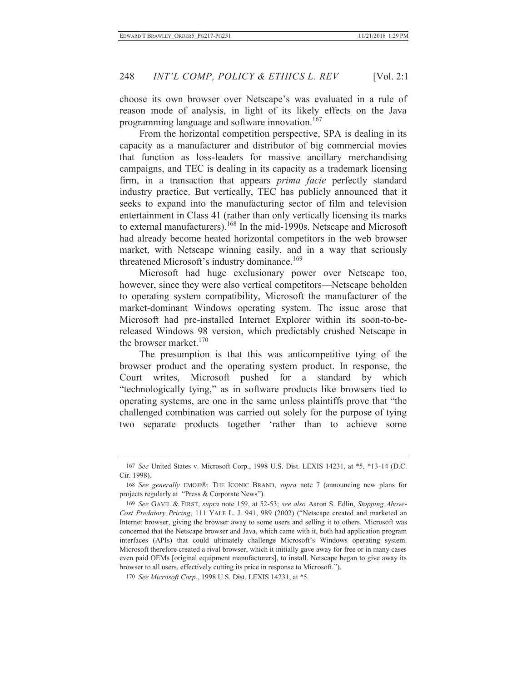choose its own browser over Netscape's was evaluated in a rule of reason mode of analysis, in light of its likely effects on the Java programming language and software innovation.<sup>167</sup>

From the horizontal competition perspective, SPA is dealing in its capacity as a manufacturer and distributor of big commercial movies that function as loss-leaders for massive ancillary merchandising campaigns, and TEC is dealing in its capacity as a trademark licensing firm, in a transaction that appears *prima facie* perfectly standard industry practice. But vertically, TEC has publicly announced that it seeks to expand into the manufacturing sector of film and television entertainment in Class 41 (rather than only vertically licensing its marks to external manufacturers).168 In the mid-1990s. Netscape and Microsoft had already become heated horizontal competitors in the web browser market, with Netscape winning easily, and in a way that seriously threatened Microsoft's industry dominance.<sup>169</sup>

Microsoft had huge exclusionary power over Netscape too, however, since they were also vertical competitors—Netscape beholden to operating system compatibility, Microsoft the manufacturer of the market-dominant Windows operating system. The issue arose that Microsoft had pre-installed Internet Explorer within its soon-to-bereleased Windows 98 version, which predictably crushed Netscape in the browser market. $170$ 

The presumption is that this was anticompetitive tying of the browser product and the operating system product. In response, the Court writes, Microsoft pushed for a standard by which "technologically tying," as in software products like browsers tied to operating systems, are one in the same unless plaintiffs prove that "the challenged combination was carried out solely for the purpose of tying two separate products together 'rather than to achieve some

<sup>167</sup> *See* United States v. Microsoft Corp., 1998 U.S. Dist. LEXIS 14231, at \*5, \*13-14 (D.C. Cir. 1998).

<sup>168</sup> *See generally* EMOJI®: THE ICONIC BRAND, *supra* note 7 (announcing new plans for projects regularly at "Press & Corporate News").

<sup>169</sup> *See* GAVIL & FIRST, *supra* note 159, at 52-53; *see also* Aaron S. Edlin, *Stopping Above-Cost Predatory Pricing*, 111 YALE L. J. 941, 989 (2002) ("Netscape created and marketed an Internet browser, giving the browser away to some users and selling it to others. Microsoft was concerned that the Netscape browser and Java, which came with it, both had application program interfaces (APIs) that could ultimately challenge Microsoft's Windows operating system. Microsoft therefore created a rival browser, which it initially gave away for free or in many cases even paid OEMs [original equipment manufacturers], to install. Netscape began to give away its browser to all users, effectively cutting its price in response to Microsoft.").

<sup>170</sup> *See Microsoft Corp.*, 1998 U.S. Dist. LEXIS 14231, at \*5.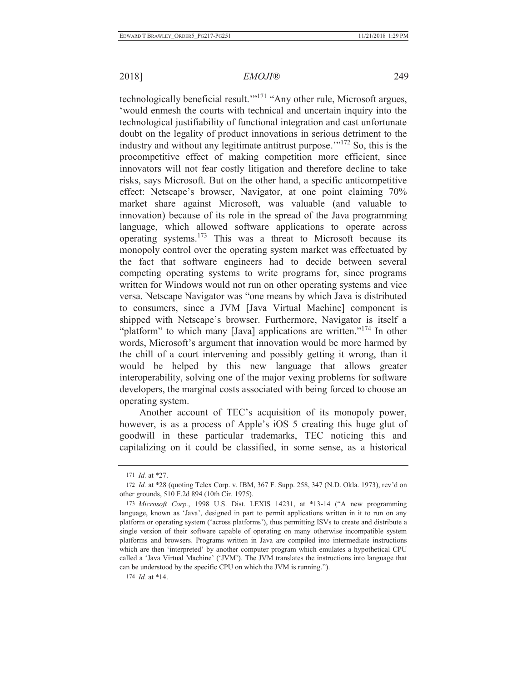technologically beneficial result.'"<sup>171</sup> "Any other rule, Microsoft argues, 'would enmesh the courts with technical and uncertain inquiry into the technological justifiability of functional integration and cast unfortunate doubt on the legality of product innovations in serious detriment to the industry and without any legitimate antitrust purpose.'"172 So, this is the procompetitive effect of making competition more efficient, since innovators will not fear costly litigation and therefore decline to take risks, says Microsoft. But on the other hand, a specific anticompetitive effect: Netscape's browser, Navigator, at one point claiming 70% market share against Microsoft, was valuable (and valuable to innovation) because of its role in the spread of the Java programming language, which allowed software applications to operate across operating systems.173 This was a threat to Microsoft because its monopoly control over the operating system market was effectuated by the fact that software engineers had to decide between several competing operating systems to write programs for, since programs written for Windows would not run on other operating systems and vice versa. Netscape Navigator was "one means by which Java is distributed to consumers, since a JVM [Java Virtual Machine] component is shipped with Netscape's browser. Furthermore, Navigator is itself a "platform" to which many [Java] applications are written."<sup>174</sup> In other words, Microsoft's argument that innovation would be more harmed by the chill of a court intervening and possibly getting it wrong, than it would be helped by this new language that allows greater interoperability, solving one of the major vexing problems for software developers, the marginal costs associated with being forced to choose an operating system.

Another account of TEC's acquisition of its monopoly power, however, is as a process of Apple's iOS 5 creating this huge glut of goodwill in these particular trademarks, TEC noticing this and capitalizing on it could be classified, in some sense, as a historical

<sup>171</sup> *Id.* at \*27.

<sup>172</sup> *Id.* at \*28 (quoting Telex Corp. v. IBM, 367 F. Supp. 258, 347 (N.D. Okla. 1973), rev'd on other grounds, 510 F.2d 894 (10th Cir. 1975).

<sup>173</sup> *Microsoft Corp.*, 1998 U.S. Dist. LEXIS 14231, at \*13-14 ("A new programming language, known as 'Java', designed in part to permit applications written in it to run on any platform or operating system ('across platforms'), thus permitting ISVs to create and distribute a single version of their software capable of operating on many otherwise incompatible system platforms and browsers. Programs written in Java are compiled into intermediate instructions which are then 'interpreted' by another computer program which emulates a hypothetical CPU called a 'Java Virtual Machine' ('JVM'). The JVM translates the instructions into language that can be understood by the specific CPU on which the JVM is running.").

<sup>174</sup> *Id.* at \*14.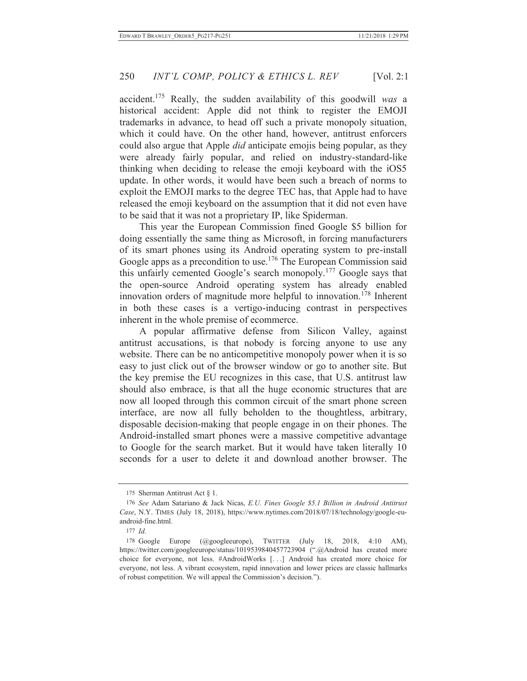accident.175 Really, the sudden availability of this goodwill *was* a historical accident: Apple did not think to register the EMOJI trademarks in advance, to head off such a private monopoly situation, which it could have. On the other hand, however, antitrust enforcers could also argue that Apple *did* anticipate emojis being popular, as they were already fairly popular, and relied on industry-standard-like thinking when deciding to release the emoji keyboard with the iOS5 update. In other words, it would have been such a breach of norms to exploit the EMOJI marks to the degree TEC has, that Apple had to have released the emoji keyboard on the assumption that it did not even have to be said that it was not a proprietary IP, like Spiderman.

This year the European Commission fined Google \$5 billion for doing essentially the same thing as Microsoft, in forcing manufacturers of its smart phones using its Android operating system to pre-install Google apps as a precondition to use.<sup>176</sup> The European Commission said this unfairly cemented Google's search monopoly.177 Google says that the open-source Android operating system has already enabled innovation orders of magnitude more helpful to innovation.<sup>178</sup> Inherent in both these cases is a vertigo-inducing contrast in perspectives inherent in the whole premise of ecommerce.

A popular affirmative defense from Silicon Valley, against antitrust accusations, is that nobody is forcing anyone to use any website. There can be no anticompetitive monopoly power when it is so easy to just click out of the browser window or go to another site. But the key premise the EU recognizes in this case, that U.S. antitrust law should also embrace, is that all the huge economic structures that are now all looped through this common circuit of the smart phone screen interface, are now all fully beholden to the thoughtless, arbitrary, disposable decision-making that people engage in on their phones. The Android-installed smart phones were a massive competitive advantage to Google for the search market. But it would have taken literally 10 seconds for a user to delete it and download another browser. The

<sup>175</sup> Sherman Antitrust Act § 1.

<sup>176</sup> *See* Adam Satariano & Jack Nicas, *E.U. Fines Google \$5.1 Billion in Android Antitrust Case*, N.Y. TIMES (July 18, 2018), https://www.nytimes.com/2018/07/18/technology/google-euandroid-fine.html.

<sup>177</sup> *Id.*

<sup>178</sup> Google Europe (@googleeurope), TWITTER (July 18, 2018, 4:10 AM), https://twitter.com/googleeurope/status/1019539840457723904 (".@Android has created more choice for everyone, not less. #AndroidWorks [. . .] Android has created more choice for everyone, not less. A vibrant ecosystem, rapid innovation and lower prices are classic hallmarks of robust competition. We will appeal the Commission's decision.").